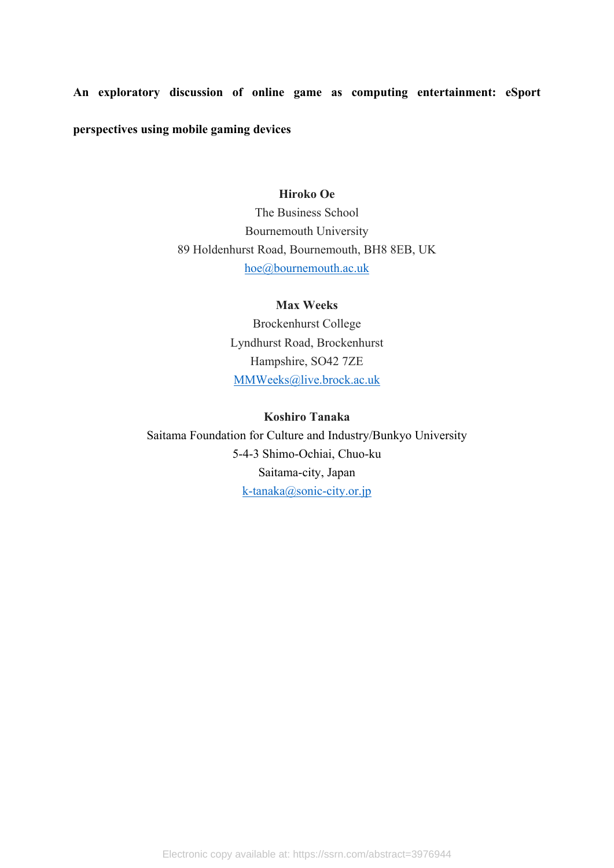**An exploratory discussion of online game as computing entertainment: eSport perspectives using mobile gaming devices**

## **Hiroko Oe**

The Business School Bournemouth University 89 Holdenhurst Road, Bournemouth, BH8 8EB, UK [hoe@bournemouth.ac.uk](mailto:hoe@bournemouth.ac.uk)

## **Max Weeks**

Brockenhurst College Lyndhurst Road, Brockenhurst Hampshire, SO42 7ZE [MMWeeks@live.brock.ac.uk](mailto:MMWeeks@live.brock.ac.uk)

## **Koshiro Tanaka**

Saitama Foundation for Culture and Industry/Bunkyo University 5-4-3 Shimo-Ochiai, Chuo-ku Saitama-city, Japan [k-tanaka@sonic-city.or.jp](mailto:k-tanaka@sonic-city.or.jp)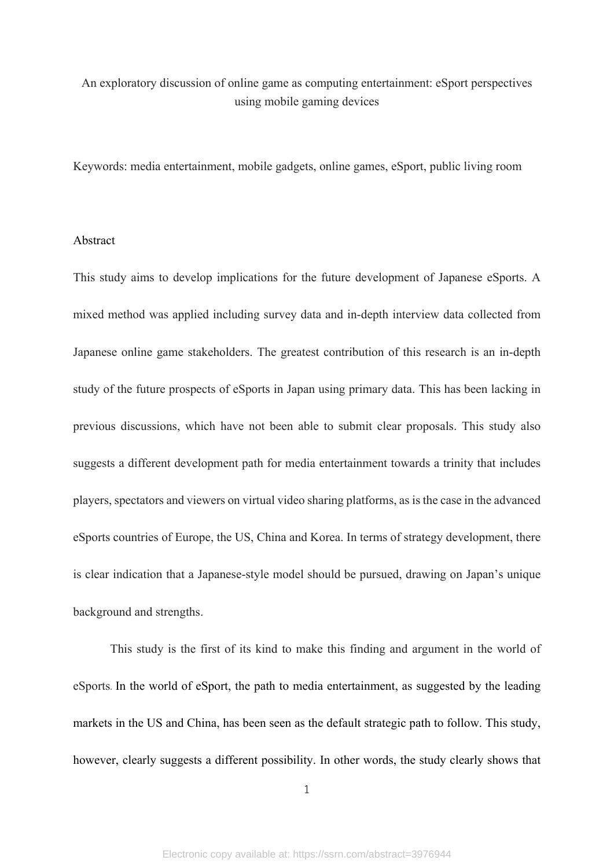# An exploratory discussion of online game as computing entertainment: eSport perspectives using mobile gaming devices

Keywords: media entertainment, mobile gadgets, online games, eSport, public living room

#### Abstract

This study aims to develop implications for the future development of Japanese eSports. A mixed method was applied including survey data and in-depth interview data collected from Japanese online game stakeholders. The greatest contribution of this research is an in-depth study of the future prospects of eSports in Japan using primary data. This has been lacking in previous discussions, which have not been able to submit clear proposals. This study also suggests a different development path for media entertainment towards a trinity that includes players, spectators and viewers on virtual video sharing platforms, as is the case in the advanced eSports countries of Europe, the US, China and Korea. In terms of strategy development, there is clear indication that a Japanese-style model should be pursued, drawing on Japan's unique background and strengths.

This study is the first of its kind to make this finding and argument in the world of eSports. In the world of eSport, the path to media entertainment, as suggested by the leading markets in the US and China, has been seen as the default strategic path to follow. This study, however, clearly suggests a different possibility. In other words, the study clearly shows that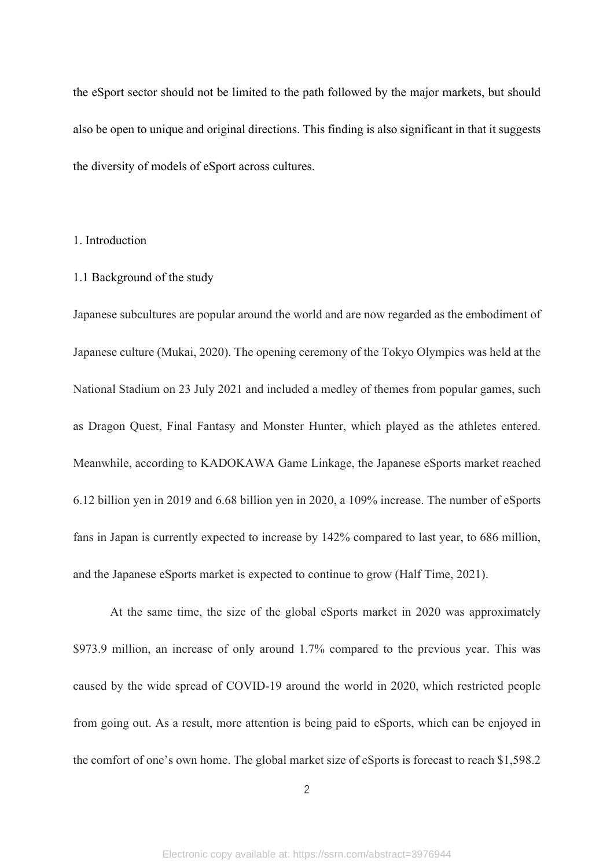the eSport sector should not be limited to the path followed by the major markets, but should also be open to unique and original directions. This finding is also significant in that it suggests the diversity of models of eSport across cultures.

#### 1. Introduction

#### 1.1 Background of the study

Japanese subcultures are popular around the world and are now regarded as the embodiment of Japanese culture (Mukai, 2020). The opening ceremony of the Tokyo Olympics was held at the National Stadium on 23 July 2021 and included a medley of themes from popular games, such as Dragon Quest, Final Fantasy and Monster Hunter, which played as the athletes entered. Meanwhile, according to KADOKAWA Game Linkage, the Japanese eSports market reached 6.12 billion yen in 2019 and 6.68 billion yen in 2020, a 109% increase. The number of eSports fans in Japan is currently expected to increase by 142% compared to last year, to 686 million, and the Japanese eSports market is expected to continue to grow (Half Time, 2021).

At the same time, the size of the global eSports market in 2020 was approximately \$973.9 million, an increase of only around 1.7% compared to the previous year. This was caused by the wide spread of COVID-19 around the world in 2020, which restricted people from going out. As a result, more attention is being paid to eSports, which can be enjoyed in the comfort of one's own home. The global market size of eSports is forecast to reach \$1,598.2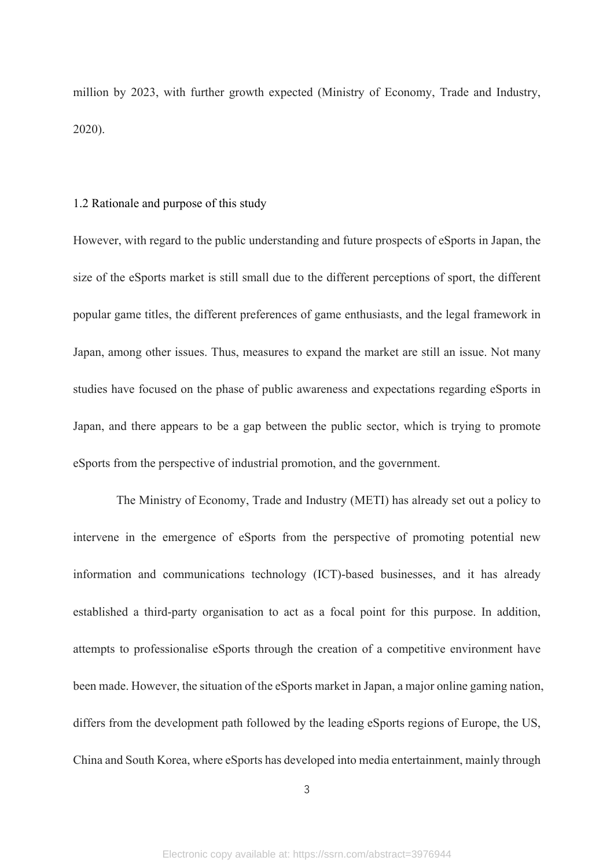million by 2023, with further growth expected (Ministry of Economy, Trade and Industry, 2020).

### 1.2 Rationale and purpose of this study

However, with regard to the public understanding and future prospects of eSports in Japan, the size of the eSports market is still small due to the different perceptions of sport, the different popular game titles, the different preferences of game enthusiasts, and the legal framework in Japan, among other issues. Thus, measures to expand the market are still an issue. Not many studies have focused on the phase of public awareness and expectations regarding eSports in Japan, and there appears to be a gap between the public sector, which is trying to promote eSports from the perspective of industrial promotion, and the government.

The Ministry of Economy, Trade and Industry (METI) has already set out a policy to intervene in the emergence of eSports from the perspective of promoting potential new information and communications technology (ICT)-based businesses, and it has already established a third-party organisation to act as a focal point for this purpose. In addition, attempts to professionalise eSports through the creation of a competitive environment have been made. However, the situation of the eSports market in Japan, a major online gaming nation, differs from the development path followed by the leading eSports regions of Europe, the US, China and South Korea, where eSports has developed into media entertainment, mainly through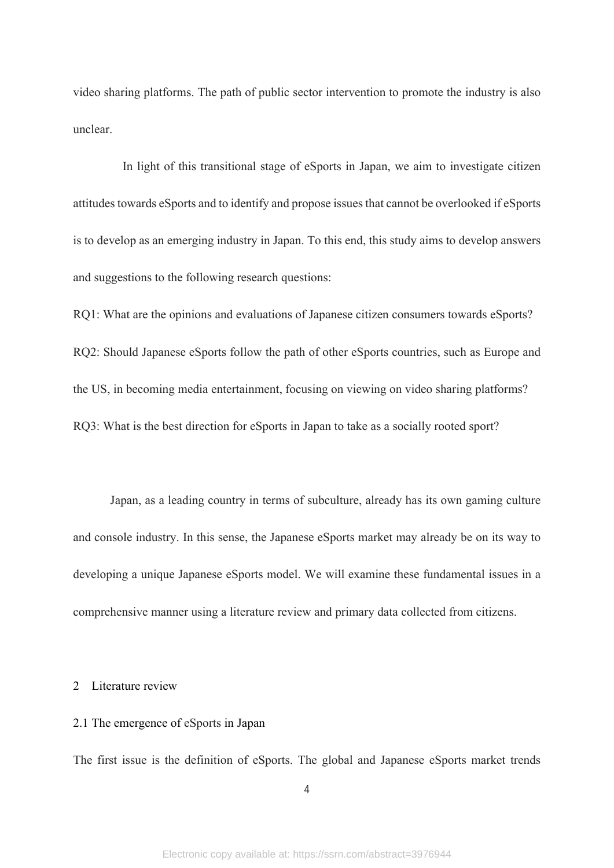video sharing platforms. The path of public sector intervention to promote the industry is also unclear.

In light of this transitional stage of eSports in Japan, we aim to investigate citizen attitudes towards eSports and to identify and propose issues that cannot be overlooked if eSports is to develop as an emerging industry in Japan. To this end, this study aims to develop answers and suggestions to the following research questions:

RQ1: What are the opinions and evaluations of Japanese citizen consumers towards eSports? RQ2: Should Japanese eSports follow the path of other eSports countries, such as Europe and the US, in becoming media entertainment, focusing on viewing on video sharing platforms? RQ3: What is the best direction for eSports in Japan to take as a socially rooted sport?

Japan, as a leading country in terms of subculture, already has its own gaming culture and console industry. In this sense, the Japanese eSports market may already be on its way to developing a unique Japanese eSports model. We will examine these fundamental issues in a comprehensive manner using a literature review and primary data collected from citizens.

## 2 Literature review

### 2.1 The emergence of eSports in Japan

The first issue is the definition of eSports. The global and Japanese eSports market trends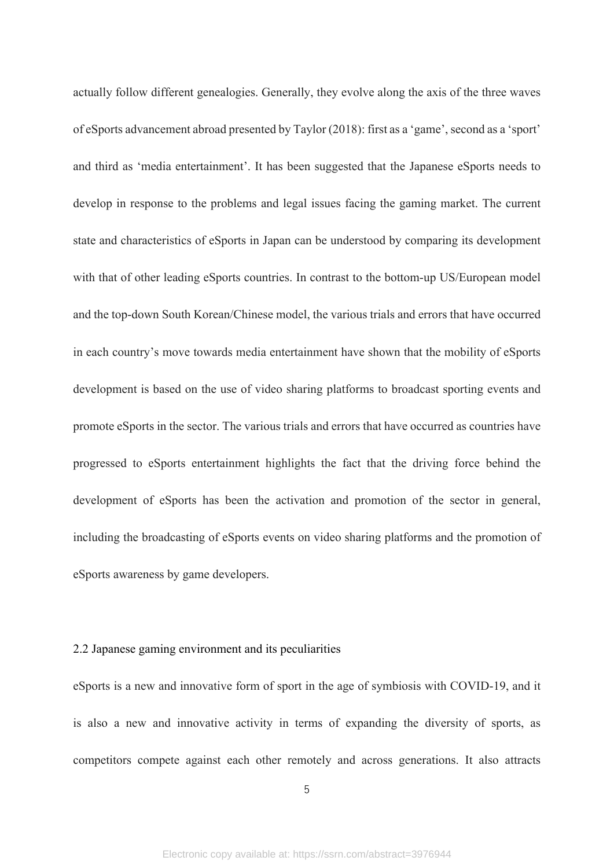actually follow different genealogies. Generally, they evolve along the axis of the three waves of eSports advancement abroad presented by Taylor (2018): first as a 'game', second as a 'sport' and third as 'media entertainment'. It has been suggested that the Japanese eSports needs to develop in response to the problems and legal issues facing the gaming market. The current state and characteristics of eSports in Japan can be understood by comparing its development with that of other leading eSports countries. In contrast to the bottom-up US/European model and the top-down South Korean/Chinese model, the various trials and errors that have occurred in each country's move towards media entertainment have shown that the mobility of eSports development is based on the use of video sharing platforms to broadcast sporting events and promote eSports in the sector. The various trials and errors that have occurred as countries have progressed to eSports entertainment highlights the fact that the driving force behind the development of eSports has been the activation and promotion of the sector in general, including the broadcasting of eSports events on video sharing platforms and the promotion of eSports awareness by game developers.

## 2.2 Japanese gaming environment and its peculiarities

eSports is a new and innovative form of sport in the age of symbiosis with COVID-19, and it is also a new and innovative activity in terms of expanding the diversity of sports, as competitors compete against each other remotely and across generations. It also attracts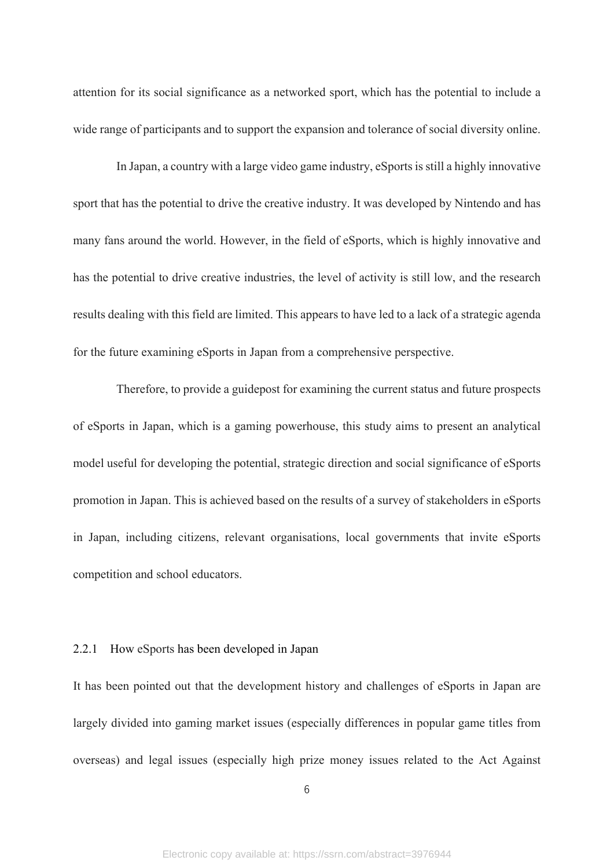attention for its social significance as a networked sport, which has the potential to include a wide range of participants and to support the expansion and tolerance of social diversity online.

In Japan, a country with a large video game industry, eSports is still a highly innovative sport that has the potential to drive the creative industry. It was developed by Nintendo and has many fans around the world. However, in the field of eSports, which is highly innovative and has the potential to drive creative industries, the level of activity is still low, and the research results dealing with this field are limited. This appears to have led to a lack of a strategic agenda for the future examining eSports in Japan from a comprehensive perspective.

Therefore, to provide a guidepost for examining the current status and future prospects of eSports in Japan, which is a gaming powerhouse, this study aims to present an analytical model useful for developing the potential, strategic direction and social significance of eSports promotion in Japan. This is achieved based on the results of a survey of stakeholders in eSports in Japan, including citizens, relevant organisations, local governments that invite eSports competition and school educators.

## 2.2.1 How eSports has been developed in Japan

It has been pointed out that the development history and challenges of eSports in Japan are largely divided into gaming market issues (especially differences in popular game titles from overseas) and legal issues (especially high prize money issues related to the Act Against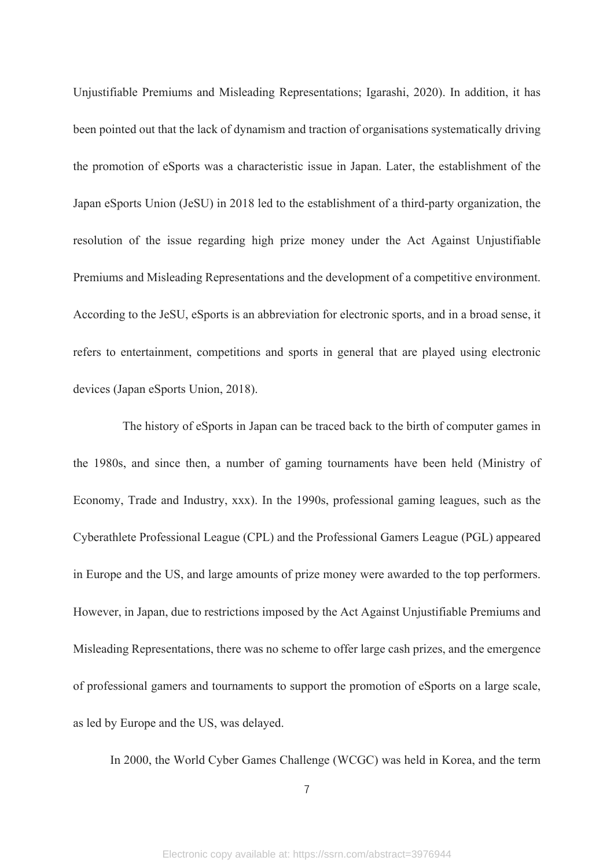Unjustifiable Premiums and Misleading Representations; Igarashi, 2020). In addition, it has been pointed out that the lack of dynamism and traction of organisations systematically driving the promotion of eSports was a characteristic issue in Japan. Later, the establishment of the Japan eSports Union (JeSU) in 2018 led to the establishment of a third-party organization, the resolution of the issue regarding high prize money under the Act Against Unjustifiable Premiums and Misleading Representations and the development of a competitive environment. According to the JeSU, eSports is an abbreviation for electronic sports, and in a broad sense, it refers to entertainment, competitions and sports in general that are played using electronic devices (Japan eSports Union, 2018).

The history of eSports in Japan can be traced back to the birth of computer games in the 1980s, and since then, a number of gaming tournaments have been held (Ministry of Economy, Trade and Industry, xxx). In the 1990s, professional gaming leagues, such as the Cyberathlete Professional League (CPL) and the Professional Gamers League (PGL) appeared in Europe and the US, and large amounts of prize money were awarded to the top performers. However, in Japan, due to restrictions imposed by the Act Against Unjustifiable Premiums and Misleading Representations, there was no scheme to offer large cash prizes, and the emergence of professional gamers and tournaments to support the promotion of eSports on a large scale, as led by Europe and the US, was delayed.

In 2000, the World Cyber Games Challenge (WCGC) was held in Korea, and the term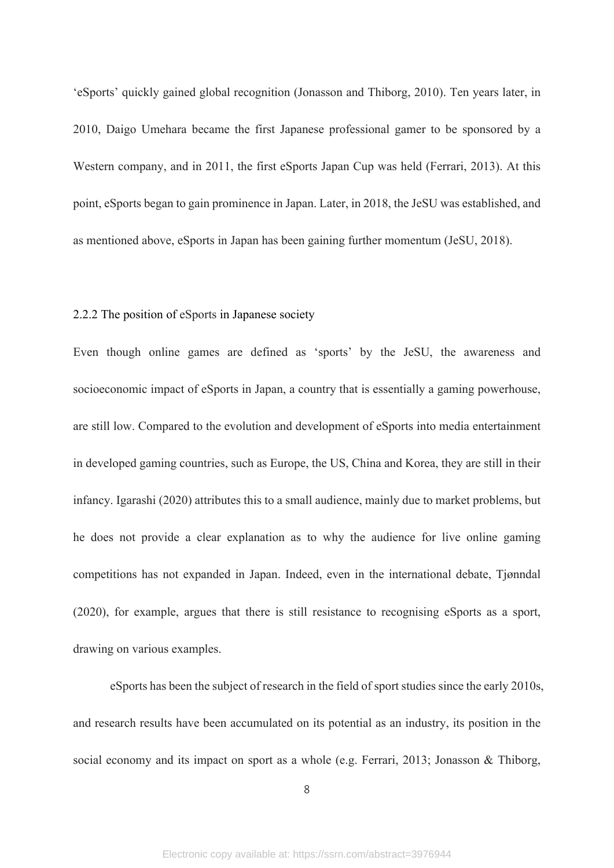'eSports' quickly gained global recognition (Jonasson and Thiborg, 2010). Ten years later, in 2010, Daigo Umehara became the first Japanese professional gamer to be sponsored by a Western company, and in 2011, the first eSports Japan Cup was held (Ferrari, 2013). At this point, eSports began to gain prominence in Japan. Later, in 2018, the JeSU was established, and as mentioned above, eSports in Japan has been gaining further momentum (JeSU, 2018).

## 2.2.2 The position of eSports in Japanese society

Even though online games are defined as 'sports' by the JeSU, the awareness and socioeconomic impact of eSports in Japan, a country that is essentially a gaming powerhouse, are still low. Compared to the evolution and development of eSports into media entertainment in developed gaming countries, such as Europe, the US, China and Korea, they are still in their infancy. Igarashi (2020) attributes this to a small audience, mainly due to market problems, but he does not provide a clear explanation as to why the audience for live online gaming competitions has not expanded in Japan. Indeed, even in the international debate, Tjønndal (2020), for example, argues that there is still resistance to recognising eSports as a sport, drawing on various examples.

eSports has been the subject of research in the field of sport studies since the early 2010s, and research results have been accumulated on its potential as an industry, its position in the social economy and its impact on sport as a whole (e.g. Ferrari, 2013; Jonasson & Thiborg,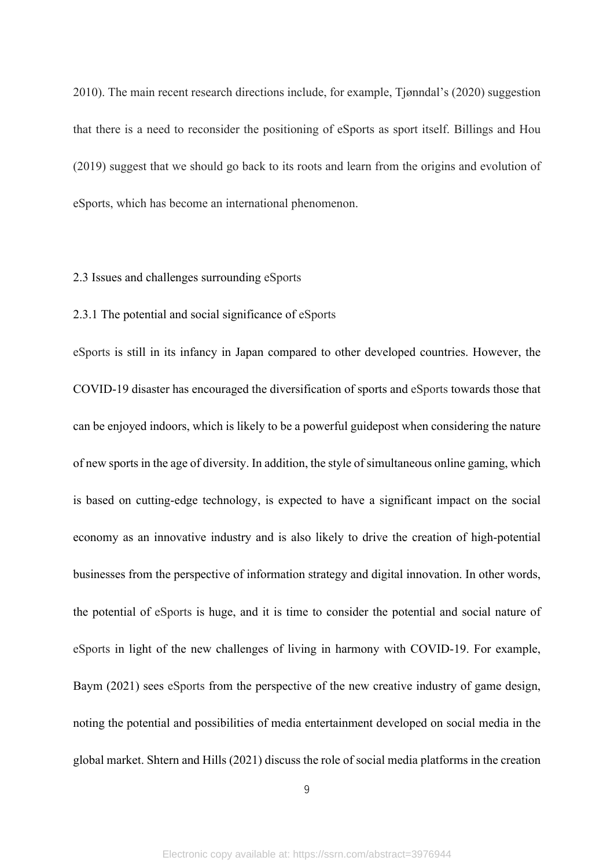2010). The main recent research directions include, for example, Tjønndal's (2020) suggestion that there is a need to reconsider the positioning of eSports as sport itself. Billings and Hou (2019) suggest that we should go back to its roots and learn from the origins and evolution of eSports, which has become an international phenomenon.

## 2.3 Issues and challenges surrounding eSports

## 2.3.1 The potential and social significance of eSports

eSports is still in its infancy in Japan compared to other developed countries. However, the COVID-19 disaster has encouraged the diversification of sports and eSports towards those that can be enjoyed indoors, which is likely to be a powerful guidepost when considering the nature of new sports in the age of diversity. In addition, the style of simultaneous online gaming, which is based on cutting-edge technology, is expected to have a significant impact on the social economy as an innovative industry and is also likely to drive the creation of high-potential businesses from the perspective of information strategy and digital innovation. In other words, the potential of eSports is huge, and it is time to consider the potential and social nature of eSports in light of the new challenges of living in harmony with COVID-19. For example, Baym (2021) sees eSports from the perspective of the new creative industry of game design, noting the potential and possibilities of media entertainment developed on social media in the global market. Shtern and Hills (2021) discuss the role of social media platforms in the creation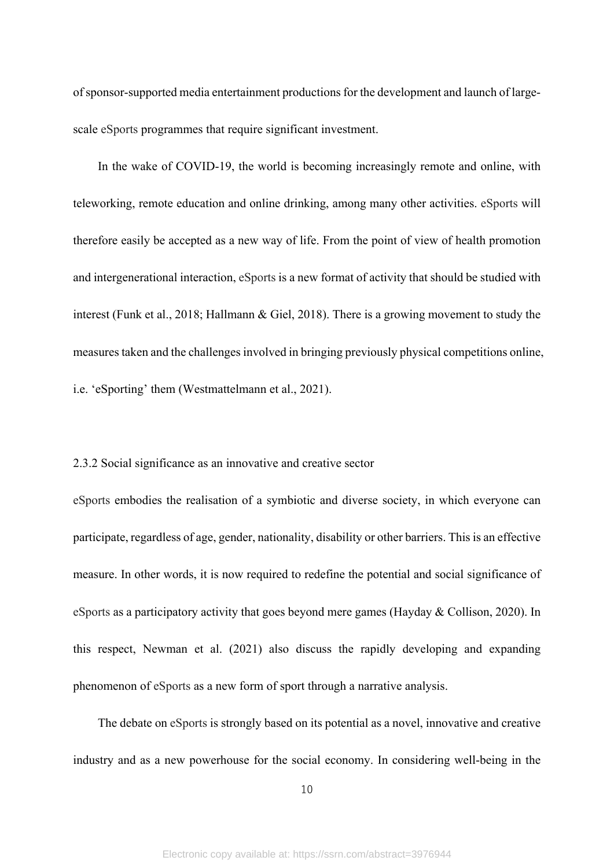of sponsor-supported media entertainment productions for the development and launch of largescale eSports programmes that require significant investment.

 In the wake of COVID-19, the world is becoming increasingly remote and online, with teleworking, remote education and online drinking, among many other activities. eSports will therefore easily be accepted as a new way of life. From the point of view of health promotion and intergenerational interaction, eSports is a new format of activity that should be studied with interest (Funk et al., 2018; Hallmann & Giel, 2018). There is a growing movement to study the measures taken and the challenges involved in bringing previously physical competitions online, i.e. 'eSporting' them (Westmattelmann et al., 2021).

#### 2.3.2 Social significance as an innovative and creative sector

eSports embodies the realisation of a symbiotic and diverse society, in which everyone can participate, regardless of age, gender, nationality, disability or other barriers. This is an effective measure. In other words, it is now required to redefine the potential and social significance of eSports as a participatory activity that goes beyond mere games (Hayday & Collison, 2020). In this respect, Newman et al. (2021) also discuss the rapidly developing and expanding phenomenon of eSports as a new form of sport through a narrative analysis.

 The debate on eSports is strongly based on its potential as a novel, innovative and creative industry and as a new powerhouse for the social economy. In considering well-being in the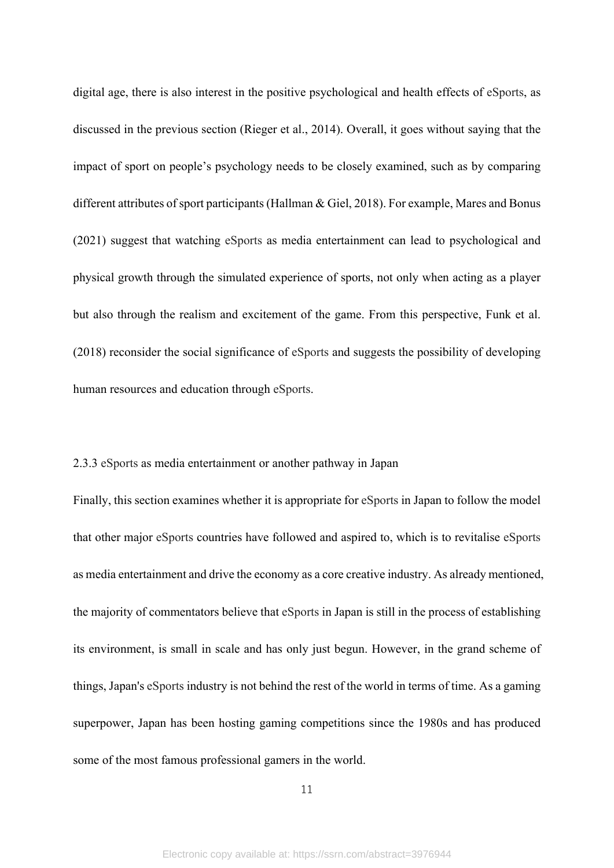digital age, there is also interest in the positive psychological and health effects of eSports, as discussed in the previous section (Rieger et al., 2014). Overall, it goes without saying that the impact of sport on people's psychology needs to be closely examined, such as by comparing different attributes of sport participants (Hallman & Giel, 2018). For example, Mares and Bonus (2021) suggest that watching eSports as media entertainment can lead to psychological and physical growth through the simulated experience of sports, not only when acting as a player but also through the realism and excitement of the game. From this perspective, Funk et al. (2018) reconsider the social significance of eSports and suggests the possibility of developing human resources and education through eSports.

## 2.3.3 eSports as media entertainment or another pathway in Japan

Finally, this section examines whether it is appropriate for eSports in Japan to follow the model that other major eSports countries have followed and aspired to, which is to revitalise eSports as media entertainment and drive the economy as a core creative industry. As already mentioned, the majority of commentators believe that eSports in Japan is still in the process of establishing its environment, is small in scale and has only just begun. However, in the grand scheme of things, Japan's eSports industry is not behind the rest of the world in terms of time. As a gaming superpower, Japan has been hosting gaming competitions since the 1980s and has produced some of the most famous professional gamers in the world.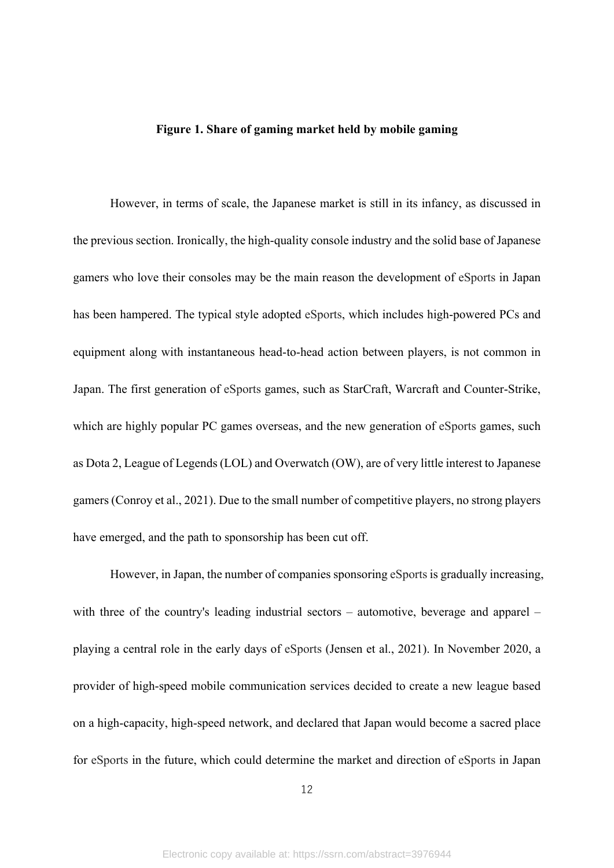### **Figure 1. Share of gaming market held by mobile gaming**

However, in terms of scale, the Japanese market is still in its infancy, as discussed in the previous section. Ironically, the high-quality console industry and the solid base of Japanese gamers who love their consoles may be the main reason the development of eSports in Japan has been hampered. The typical style adopted eSports, which includes high-powered PCs and equipment along with instantaneous head-to-head action between players, is not common in Japan. The first generation of eSports games, such as StarCraft, Warcraft and Counter-Strike, which are highly popular PC games overseas, and the new generation of eSports games, such as Dota 2, League of Legends (LOL) and Overwatch (OW), are of very little interest to Japanese gamers (Conroy et al., 2021). Due to the small number of competitive players, no strong players have emerged, and the path to sponsorship has been cut off.

However, in Japan, the number of companies sponsoring eSports is gradually increasing, with three of the country's leading industrial sectors – automotive, beverage and apparel – playing a central role in the early days of eSports (Jensen et al., 2021). In November 2020, a provider of high-speed mobile communication services decided to create a new league based on a high-capacity, high-speed network, and declared that Japan would become a sacred place for eSports in the future, which could determine the market and direction of eSports in Japan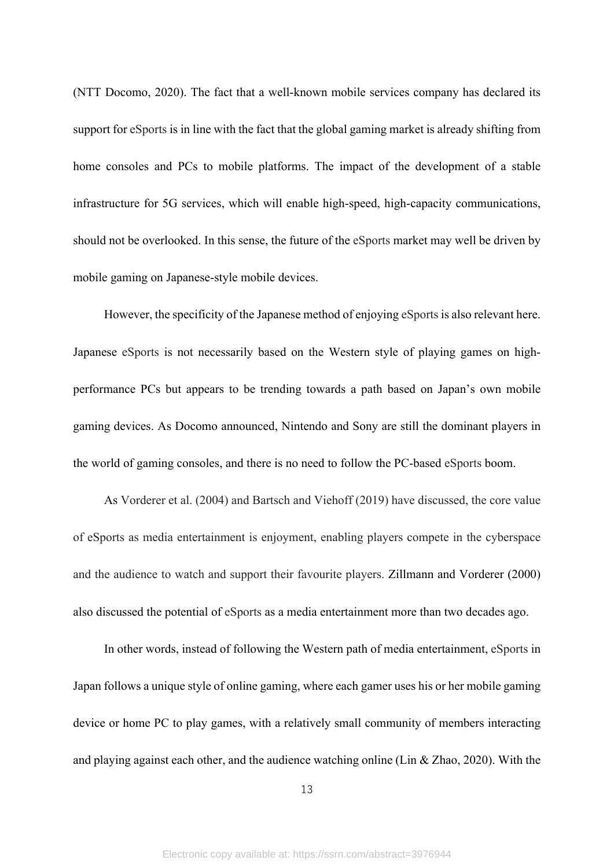(NTT Docomo, 2020). The fact that a well-known mobile services company has declared its support for eSports is in line with the fact that the global gaming market is already shifting from home consoles and PCs to mobile platforms. The impact of the development of a stable infrastructure for 5G services, which will enable high-speed, high-capacity communications, should not be overlooked. In this sense, the future of the eSports market may well be driven by mobile gaming on Japanese-style mobile devices.

However, the specificity of the Japanese method of enjoying eSports is also relevant here. Japanese eSports is not necessarily based on the Western style of playing games on highperformance PCs but appears to be trending towards a path based on Japan's own mobile gaming devices. As Docomo announced, Nintendo and Sony are still the dominant players in the world of gaming consoles, and there is no need to follow the PC-based eSports boom.

As Vorderer et al. (2004) and Bartsch and Viehoff (2019) have discussed, the core value of eSports as media entertainment is enjoyment, enabling players compete in the cyberspace and the audience to watch and support their favourite players. Zillmann and Vorderer (2000) also discussed the potential of eSports as a media entertainment more than two decades ago.

In other words, instead of following the Western path of media entertainment, eSports in Japan follows a unique style of online gaming, where each gamer uses his or her mobile gaming device or home PC to play games, with a relatively small community of members interacting and playing against each other, and the audience watching online (Lin & Zhao, 2020). With the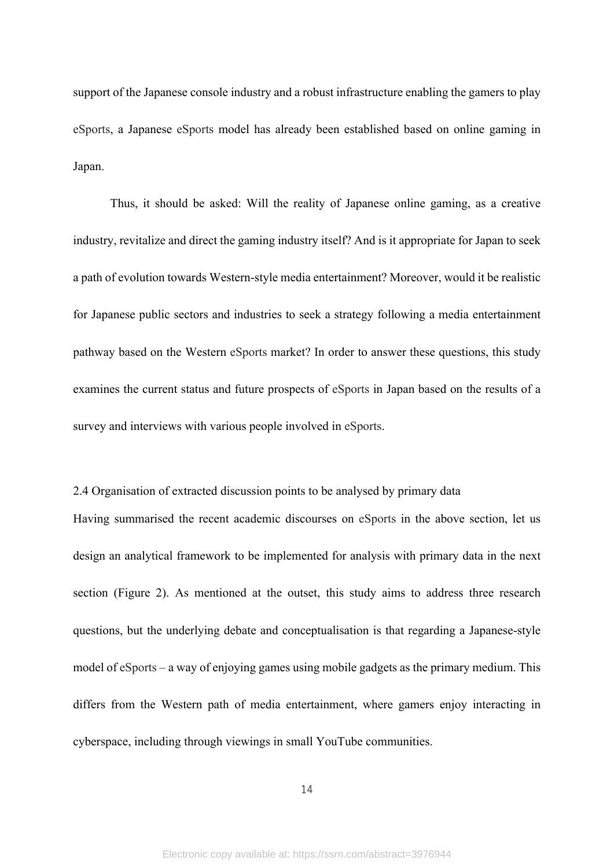support of the Japanese console industry and a robust infrastructure enabling the gamers to play eSports, a Japanese eSports model has already been established based on online gaming in Japan.

Thus, it should be asked: Will the reality of Japanese online gaming, as a creative industry, revitalize and direct the gaming industry itself? And is it appropriate for Japan to seek a path of evolution towards Western-style media entertainment? Moreover, would it be realistic for Japanese public sectors and industries to seek a strategy following a media entertainment pathway based on the Western eSports market? In order to answer these questions, this study examines the current status and future prospects of eSports in Japan based on the results of a survey and interviews with various people involved in eSports.

2.4 Organisation of extracted discussion points to be analysed by primary data Having summarised the recent academic discourses on eSports in the above section, let us design an analytical framework to be implemented for analysis with primary data in the next section (Figure 2). As mentioned at the outset, this study aims to address three research questions, but the underlying debate and conceptualisation is that regarding a Japanese-style model of eSports – a way of enjoying games using mobile gadgets as the primary medium. This differs from the Western path of media entertainment, where gamers enjoy interacting in cyberspace, including through viewings in small YouTube communities.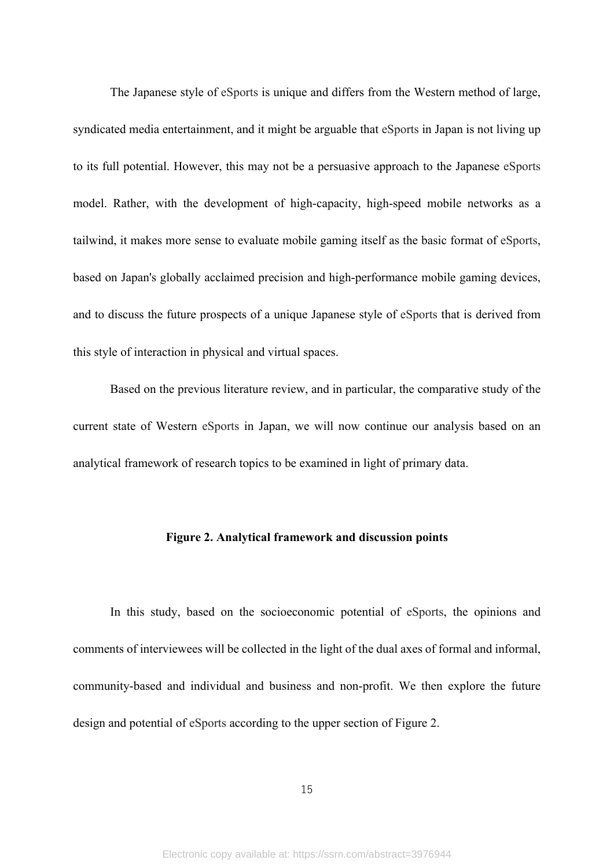The Japanese style of eSports is unique and differs from the Western method of large, syndicated media entertainment, and it might be arguable that eSports in Japan is not living up to its full potential. However, this may not be a persuasive approach to the Japanese eSports model. Rather, with the development of high-capacity, high-speed mobile networks as a tailwind, it makes more sense to evaluate mobile gaming itself as the basic format of eSports, based on Japan's globally acclaimed precision and high-performance mobile gaming devices, and to discuss the future prospects of a unique Japanese style of eSports that is derived from this style of interaction in physical and virtual spaces.

Based on the previous literature review, and in particular, the comparative study of the current state of Western eSports in Japan, we will now continue our analysis based on an analytical framework of research topics to be examined in light of primary data.

## **Figure 2. Analytical framework and discussion points**

In this study, based on the socioeconomic potential of eSports, the opinions and comments of interviewees will be collected in the light of the dual axes of formal and informal, community-based and individual and business and non-profit. We then explore the future design and potential of eSports according to the upper section of Figure 2.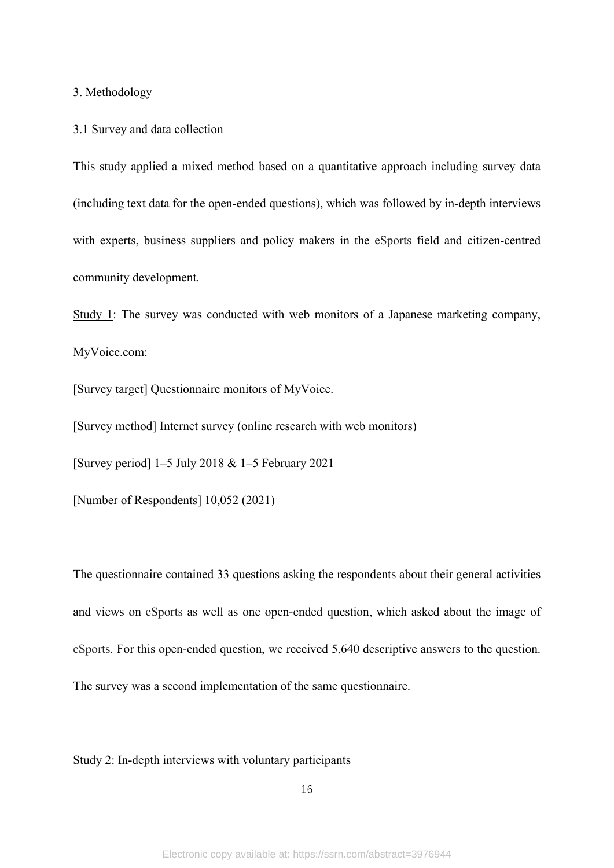3. Methodology

3.1 Survey and data collection

This study applied a mixed method based on a quantitative approach including survey data (including text data for the open-ended questions), which was followed by in-depth interviews with experts, business suppliers and policy makers in the eSports field and citizen-centred community development.

Study 1: The survey was conducted with web monitors of a Japanese marketing company, MyVoice.com:

[Survey target] Questionnaire monitors of MyVoice.

[Survey method] Internet survey (online research with web monitors)

[Survey period] 1–5 July 2018 & 1–5 February 2021

[Number of Respondents] 10,052 (2021)

The questionnaire contained 33 questions asking the respondents about their general activities and views on eSports as well as one open-ended question, which asked about the image of eSports. For this open-ended question, we received 5,640 descriptive answers to the question. The survey was a second implementation of the same questionnaire.

Study 2: In-depth interviews with voluntary participants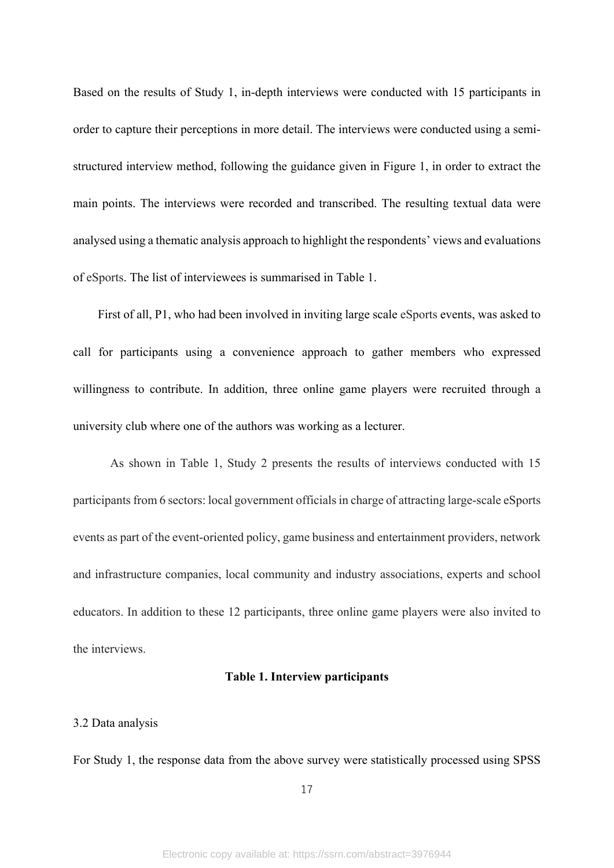Based on the results of Study 1, in-depth interviews were conducted with 15 participants in order to capture their perceptions in more detail. The interviews were conducted using a semistructured interview method, following the guidance given in Figure 1, in order to extract the main points. The interviews were recorded and transcribed. The resulting textual data were analysed using a thematic analysis approach to highlight the respondents' views and evaluations of eSports. The list of interviewees is summarised in Table 1.

 First of all, P1, who had been involved in inviting large scale eSports events, was asked to call for participants using a convenience approach to gather members who expressed willingness to contribute. In addition, three online game players were recruited through a university club where one of the authors was working as a lecturer.

As shown in Table 1, Study 2 presents the results of interviews conducted with 15 participants from 6 sectors: local government officials in charge of attracting large-scale eSports events as part of the event-oriented policy, game business and entertainment providers, network and infrastructure companies, local community and industry associations, experts and school educators. In addition to these 12 participants, three online game players were also invited to the interviews.

## **Table 1. Interview participants**

#### 3.2 Data analysis

For Study 1, the response data from the above survey were statistically processed using SPSS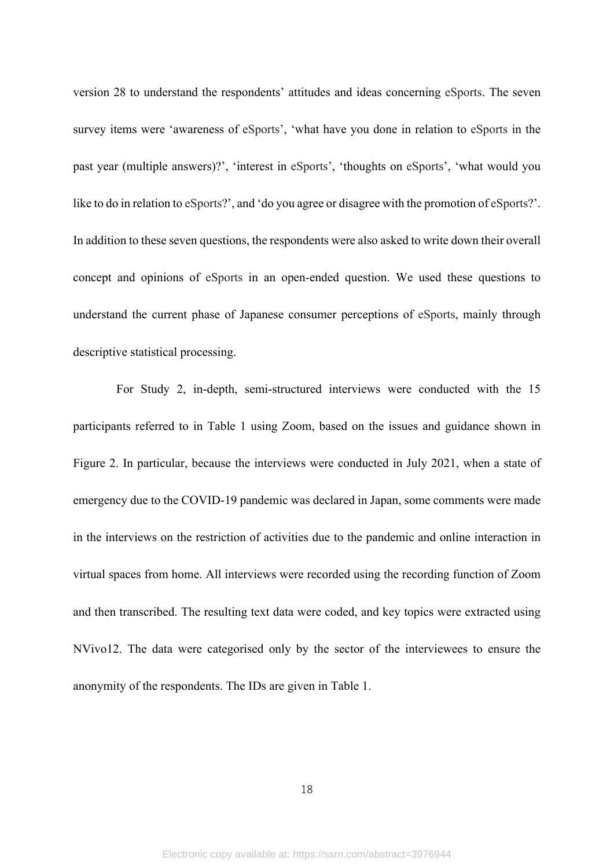version 28 to understand the respondents' attitudes and ideas concerning eSports. The seven survey items were 'awareness of eSports', 'what have you done in relation to eSports in the past year (multiple answers)?', 'interest in eSports', 'thoughts on eSports', 'what would you like to do in relation to eSports?', and 'do you agree or disagree with the promotion of eSports?'. In addition to these seven questions, the respondents were also asked to write down their overall concept and opinions of eSports in an open-ended question. We used these questions to understand the current phase of Japanese consumer perceptions of eSports, mainly through descriptive statistical processing.

For Study 2, in-depth, semi-structured interviews were conducted with the 15 participants referred to in Table 1 using Zoom, based on the issues and guidance shown in Figure 2. In particular, because the interviews were conducted in July 2021, when a state of emergency due to the COVID-19 pandemic was declared in Japan, some comments were made in the interviews on the restriction of activities due to the pandemic and online interaction in virtual spaces from home. All interviews were recorded using the recording function of Zoom and then transcribed. The resulting text data were coded, and key topics were extracted using NVivo12. The data were categorised only by the sector of the interviewees to ensure the anonymity of the respondents. The IDs are given in Table 1.

18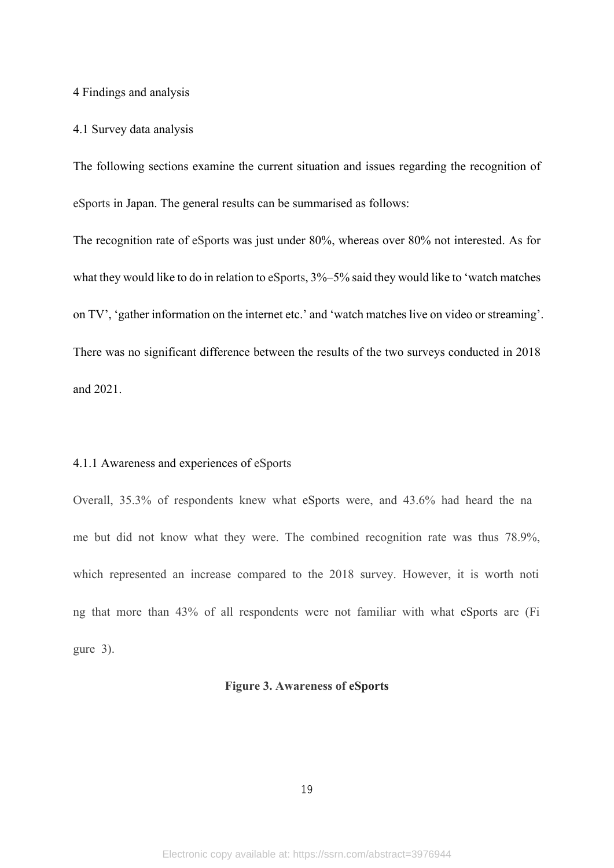#### 4 Findings and analysis

#### 4.1 Survey data analysis

The following sections examine the current situation and issues regarding the recognition of eSports in Japan. The general results can be summarised as follows:

The recognition rate of eSports was just under 80%, whereas over 80% not interested. As for what they would like to do in relation to eSports,  $3\% - 5\%$  said they would like to 'watch matches on TV', 'gather information on the internet etc.' and 'watch matches live on video or streaming'. There was no significant difference between the results of the two surveys conducted in 2018 and 2021.

#### 4.1.1 Awareness and experiences of eSports

Overall, 35.3% of respondents knew what eSports were, and 43.6% had heard the na me but did not know what they were. The combined recognition rate was thus 78.9%, which represented an increase compared to the 2018 survey. However, it is worth noti ng that more than 43% of all respondents were not familiar with what eSports are (Fi gure 3).

## **Figure 3. Awareness of eSports**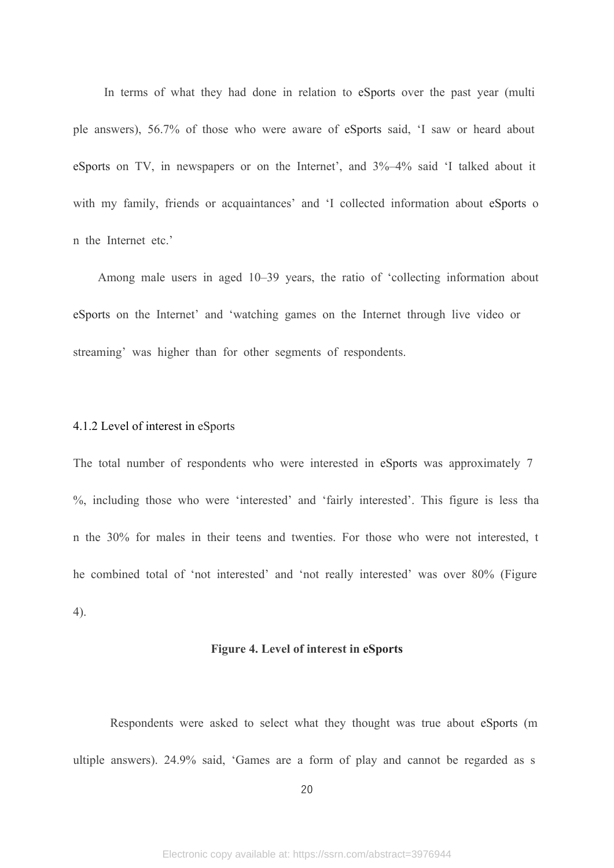In terms of what they had done in relation to eSports over the past year (multi ple answers), 56.7% of those who were aware of eSports said, 'I saw or heard about eSports on TV, in newspapers or on the Internet', and 3%–4% said 'I talked about it with my family, friends or acquaintances' and 'I collected information about eSports o n the Internet etc.'

Among male users in aged 10–39 years, the ratio of 'collecting information about eSports on the Internet' and 'watching games on the Internet through live video or streaming' was higher than for other segments of respondents.

### 4.1.2 Level of interest in eSports

The total number of respondents who were interested in eSports was approximately 7 %, including those who were 'interested' and 'fairly interested'. This figure is less tha n the 30% for males in their teens and twenties. For those who were not interested, t he combined total of 'not interested' and 'not really interested' was over 80% (Figure 4).

## **Figure 4. Level of interest in eSports**

Respondents were asked to select what they thought was true about eSports (m ultiple answers). 24.9% said, 'Games are a form of play and cannot be regarded as s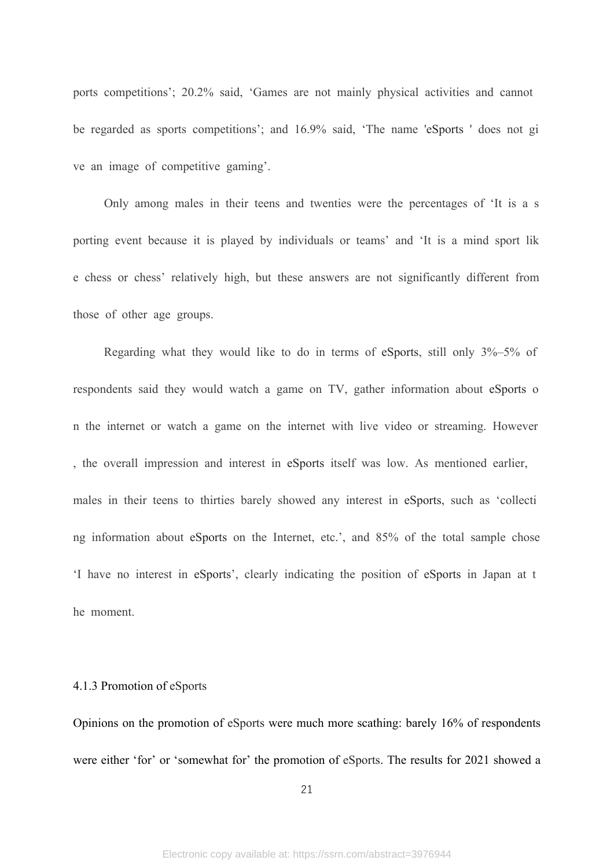ports competitions'; 20.2% said, 'Games are not mainly physical activities and cannot be regarded as sports competitions'; and 16.9% said, 'The name 'eSports ' does not gi ve an image of competitive gaming'.

Only among males in their teens and twenties were the percentages of 'It is a s porting event because it is played by individuals or teams' and 'It is a mind sport lik e chess or chess' relatively high, but these answers are not significantly different from those of other age groups.

 Regarding what they would like to do in terms of eSports, still only 3%–5% of respondents said they would watch a game on TV, gather information about eSports o n the internet or watch a game on the internet with live video or streaming. However , the overall impression and interest in eSports itself was low. As mentioned earlier, males in their teens to thirties barely showed any interest in eSports, such as 'collecti ng information about eSports on the Internet, etc.', and 85% of the total sample chose 'I have no interest in eSports', clearly indicating the position of eSports in Japan at t he moment.

### 4.1.3 Promotion of eSports

Opinions on the promotion of eSports were much more scathing: barely 16% of respondents were either 'for' or 'somewhat for' the promotion of eSports. The results for 2021 showed a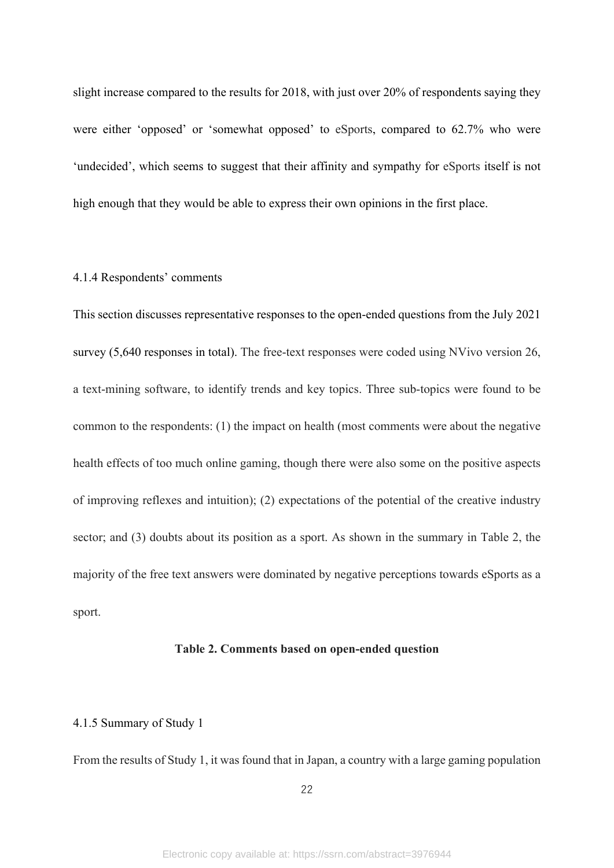slight increase compared to the results for 2018, with just over 20% of respondents saying they were either 'opposed' or 'somewhat opposed' to eSports, compared to 62.7% who were 'undecided', which seems to suggest that their affinity and sympathy for eSports itself is not high enough that they would be able to express their own opinions in the first place.

## 4.1.4 Respondents' comments

This section discusses representative responses to the open-ended questions from the July 2021 survey (5,640 responses in total). The free-text responses were coded using NVivo version 26, a text-mining software, to identify trends and key topics. Three sub-topics were found to be common to the respondents: (1) the impact on health (most comments were about the negative health effects of too much online gaming, though there were also some on the positive aspects of improving reflexes and intuition); (2) expectations of the potential of the creative industry sector; and (3) doubts about its position as a sport. As shown in the summary in Table 2, the majority of the free text answers were dominated by negative perceptions towards eSports as a sport.

## **Table 2. Comments based on open-ended question**

## 4.1.5 Summary of Study 1

From the results of Study 1, it was found that in Japan, a country with a large gaming population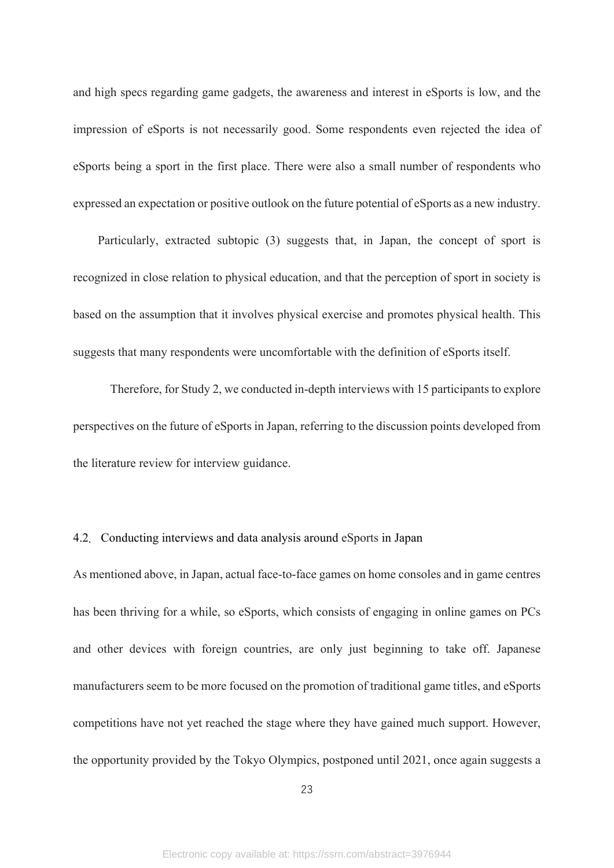and high specs regarding game gadgets, the awareness and interest in eSports is low, and the impression of eSports is not necessarily good. Some respondents even rejected the idea of eSports being a sport in the first place. There were also a small number of respondents who expressed an expectation or positive outlook on the future potential of eSports as a new industry.

 Particularly, extracted subtopic (3) suggests that, in Japan, the concept of sport is recognized in close relation to physical education, and that the perception of sport in society is based on the assumption that it involves physical exercise and promotes physical health. This suggests that many respondents were uncomfortable with the definition of eSports itself.

Therefore, for Study 2, we conducted in-depth interviews with 15 participants to explore perspectives on the future of eSports in Japan, referring to the discussion points developed from the literature review for interview guidance.

## 4.2.Conducting interviews and data analysis around eSports in Japan

As mentioned above, in Japan, actual face-to-face games on home consoles and in game centres has been thriving for a while, so eSports, which consists of engaging in online games on PCs and other devices with foreign countries, are only just beginning to take off. Japanese manufacturers seem to be more focused on the promotion of traditional game titles, and eSports competitions have not yet reached the stage where they have gained much support. However, the opportunity provided by the Tokyo Olympics, postponed until 2021, once again suggests a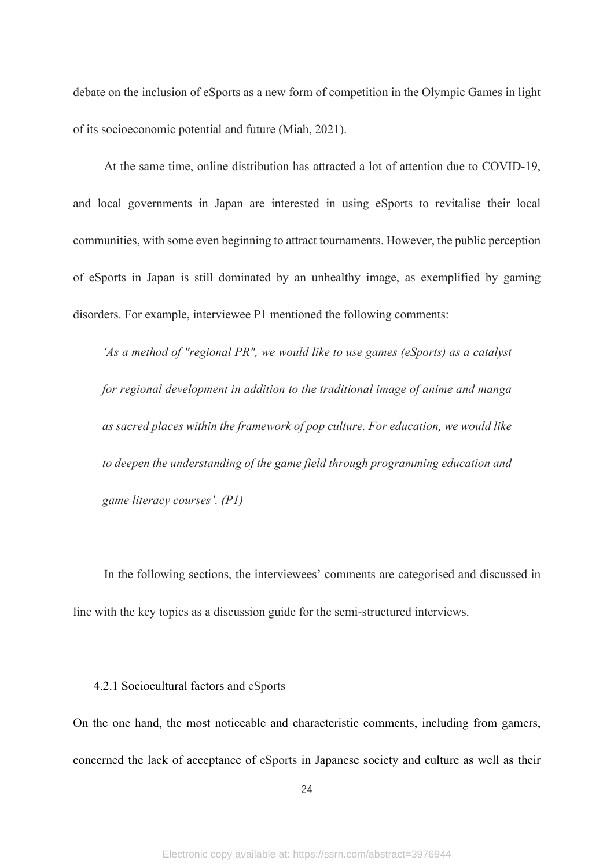debate on the inclusion of eSports as a new form of competition in the Olympic Games in light of its socioeconomic potential and future (Miah, 2021).

At the same time, online distribution has attracted a lot of attention due to COVID-19, and local governments in Japan are interested in using eSports to revitalise their local communities, with some even beginning to attract tournaments. However, the public perception of eSports in Japan is still dominated by an unhealthy image, as exemplified by gaming disorders. For example, interviewee P1 mentioned the following comments:

*'As a method of "regional PR", we would like to use games (eSports) as a catalyst for regional development in addition to the traditional image of anime and manga as sacred places within the framework of pop culture. For education, we would like to deepen the understanding of the game field through programming education and game literacy courses'. (P1)*

In the following sections, the interviewees' comments are categorised and discussed in line with the key topics as a discussion guide for the semi-structured interviews.

#### 4.2.1 Sociocultural factors and eSports

On the one hand, the most noticeable and characteristic comments, including from gamers, concerned the lack of acceptance of eSports in Japanese society and culture as well as their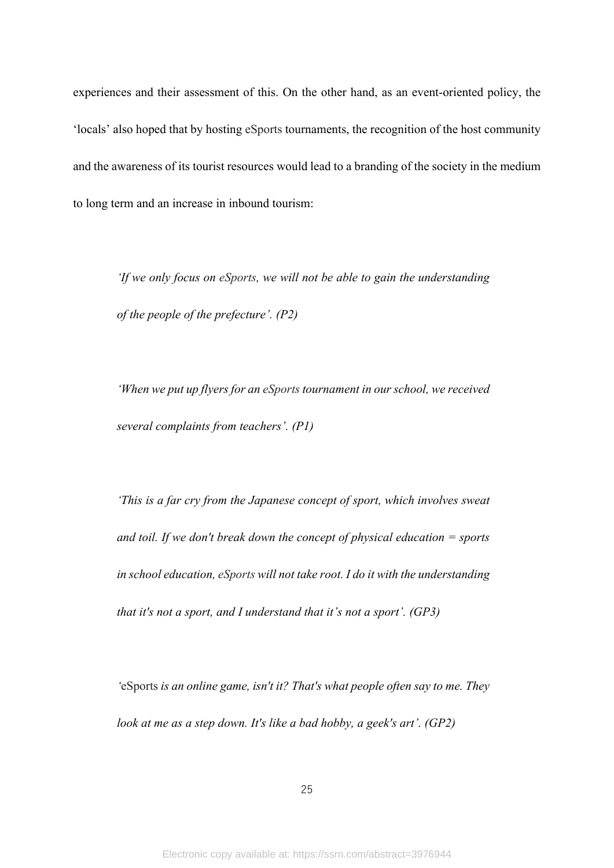experiences and their assessment of this. On the other hand, as an event-oriented policy, the 'locals' also hoped that by hosting eSports tournaments, the recognition of the host community and the awareness of its tourist resources would lead to a branding of the society in the medium to long term and an increase in inbound tourism:

*'If we only focus on eSports, we will not be able to gain the understanding of the people of the prefecture'. (P2)*

*'When we put up flyers for an eSports tournament in our school, we received several complaints from teachers'. (P1)*

*'This is a far cry from the Japanese concept of sport, which involves sweat and toil. If we don't break down the concept of physical education = sports in school education, eSports will not take root. I do it with the understanding that it's not a sport, and I understand that it's not a sport'. (GP3)*

*'*eSports *is an online game, isn't it? That's what people often say to me. They look at me as a step down. It's like a bad hobby, a geek's art'. (GP2)*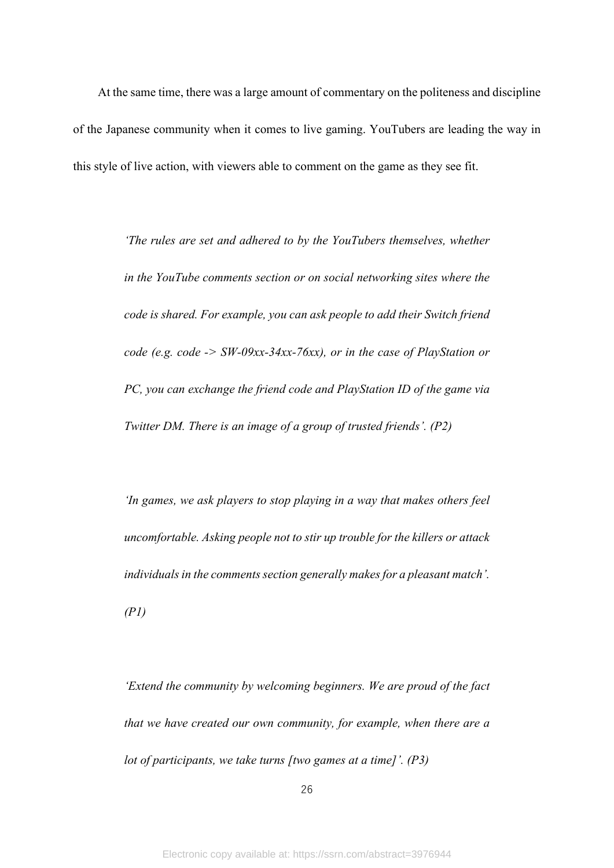At the same time, there was a large amount of commentary on the politeness and discipline of the Japanese community when it comes to live gaming. YouTubers are leading the way in this style of live action, with viewers able to comment on the game as they see fit.

> *'The rules are set and adhered to by the YouTubers themselves, whether in the YouTube comments section or on social networking sites where the code is shared. For example, you can ask people to add their Switch friend code (e.g. code -> SW-09xx-34xx-76xx), or in the case of PlayStation or PC, you can exchange the friend code and PlayStation ID of the game via Twitter DM. There is an image of a group of trusted friends'. (P2)*

> *'In games, we ask players to stop playing in a way that makes others feel uncomfortable. Asking people not to stir up trouble for the killers or attack individuals in the comments section generally makes for a pleasant match'. (P1)*

> *'Extend the community by welcoming beginners. We are proud of the fact that we have created our own community, for example, when there are a lot of participants, we take turns [two games at a time]'. (P3)*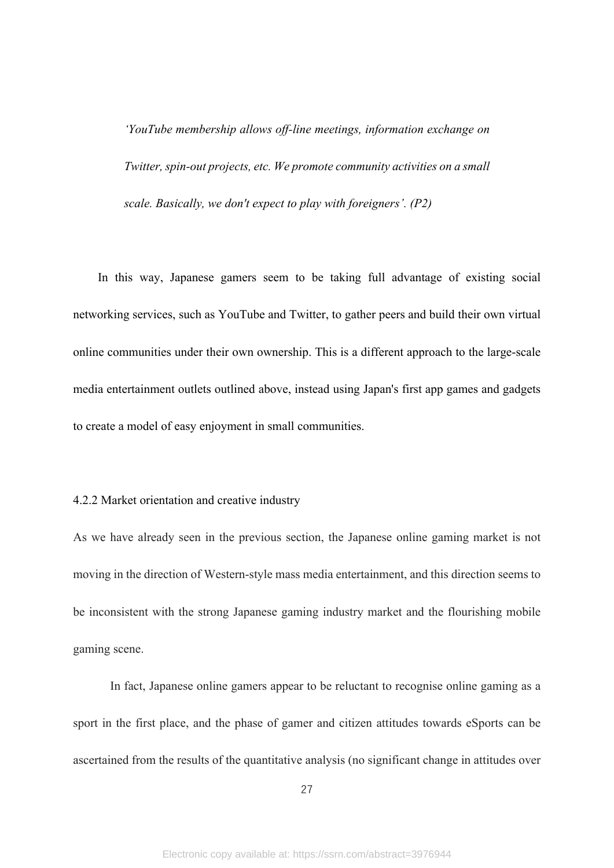*'YouTube membership allows off-line meetings, information exchange on Twitter, spin-out projects, etc. We promote community activities on a small scale. Basically, we don't expect to play with foreigners'. (P2)*

In this way, Japanese gamers seem to be taking full advantage of existing social networking services, such as YouTube and Twitter, to gather peers and build their own virtual online communities under their own ownership. This is a different approach to the large-scale media entertainment outlets outlined above, instead using Japan's first app games and gadgets to create a model of easy enjoyment in small communities.

## 4.2.2 Market orientation and creative industry

As we have already seen in the previous section, the Japanese online gaming market is not moving in the direction of Western-style mass media entertainment, and this direction seems to be inconsistent with the strong Japanese gaming industry market and the flourishing mobile gaming scene.

In fact, Japanese online gamers appear to be reluctant to recognise online gaming as a sport in the first place, and the phase of gamer and citizen attitudes towards eSports can be ascertained from the results of the quantitative analysis (no significant change in attitudes over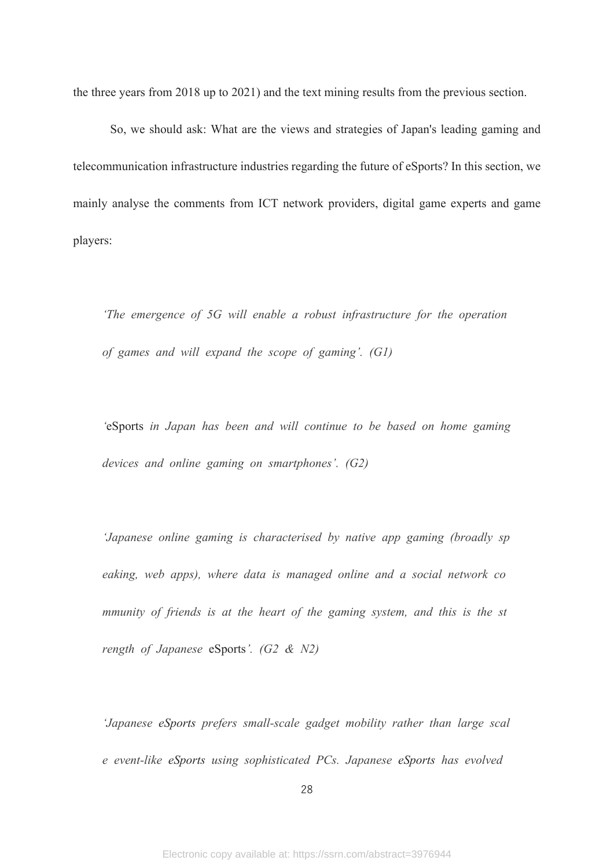the three years from 2018 up to 2021) and the text mining results from the previous section.

So, we should ask: What are the views and strategies of Japan's leading gaming and telecommunication infrastructure industries regarding the future of eSports? In this section, we mainly analyse the comments from ICT network providers, digital game experts and game players:

*'The emergence of 5G will enable a robust infrastructure for the operation of games and will expand the scope of gaming'. (G1)*

*'*eSports *in Japan has been and will continue to be based on home gaming devices and online gaming on smartphones'. (G2)*

*'Japanese online gaming is characterised by native app gaming (broadly sp eaking, web apps), where data is managed online and a social network co mmunity of friends is at the heart of the gaming system, and this is the st rength of Japanese* eSports*'. (G2 & N2)*

*'Japanese eSports prefers small-scale gadget mobility rather than large scal e event-like eSports using sophisticated PCs. Japanese eSports has evolved*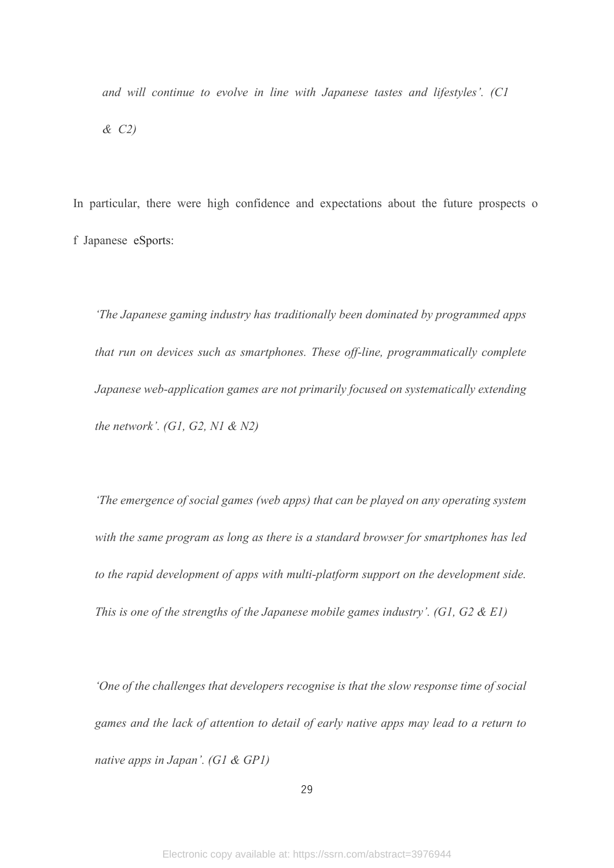*and will continue to evolve in line with Japanese tastes and lifestyles'. (C1 & C2)*

In particular, there were high confidence and expectations about the future prospects o f Japanese eSports:

*'The Japanese gaming industry has traditionally been dominated by programmed apps that run on devices such as smartphones. These off-line, programmatically complete Japanese web-application games are not primarily focused on systematically extending the network'. (G1, G2, N1 & N2)*

*'The emergence of social games (web apps) that can be played on any operating system with the same program as long as there is a standard browser for smartphones has led to the rapid development of apps with multi-platform support on the development side. This is one of the strengths of the Japanese mobile games industry'. (G1, G2 & E1)*

*'One of the challenges that developers recognise is that the slow response time of social games and the lack of attention to detail of early native apps may lead to a return to native apps in Japan'. (G1 & GP1)*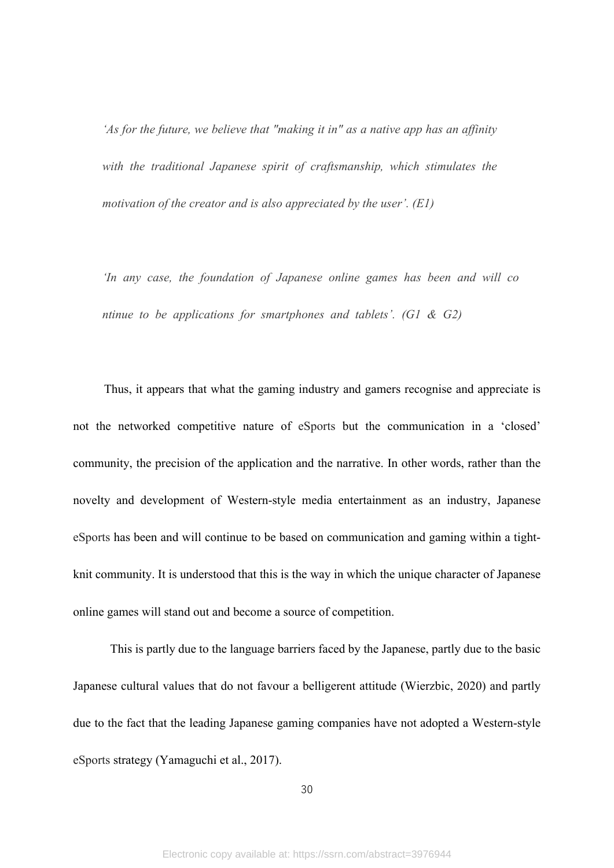*'As for the future, we believe that "making it in" as a native app has an affinity*  with the traditional Japanese spirit of craftsmanship, which stimulates the *motivation of the creator and is also appreciated by the user'. (E1)*

*'In any case, the foundation of Japanese online games has been and will co ntinue to be applications for smartphones and tablets'. (G1 & G2)*

Thus, it appears that what the gaming industry and gamers recognise and appreciate is not the networked competitive nature of eSports but the communication in a 'closed' community, the precision of the application and the narrative. In other words, rather than the novelty and development of Western-style media entertainment as an industry, Japanese eSports has been and will continue to be based on communication and gaming within a tightknit community. It is understood that this is the way in which the unique character of Japanese online games will stand out and become a source of competition.

This is partly due to the language barriers faced by the Japanese, partly due to the basic Japanese cultural values that do not favour a belligerent attitude (Wierzbic, 2020) and partly due to the fact that the leading Japanese gaming companies have not adopted a Western-style eSports strategy (Yamaguchi et al., 2017).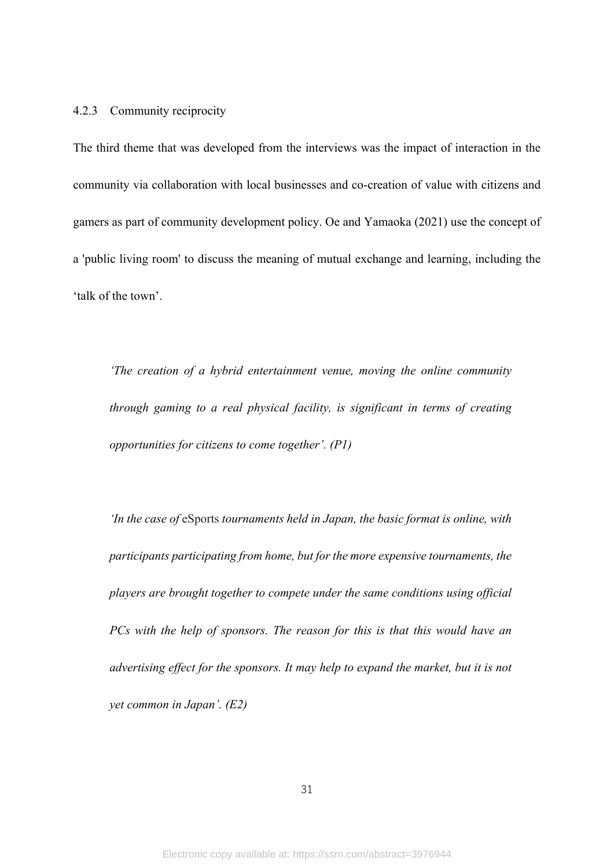#### 4.2.3 Community reciprocity

The third theme that was developed from the interviews was the impact of interaction in the community via collaboration with local businesses and co-creation of value with citizens and gamers as part of community development policy. Oe and Yamaoka (2021) use the concept of a 'public living room' to discuss the meaning of mutual exchange and learning, including the 'talk of the town'.

*'The creation of a hybrid entertainment venue, moving the online community through gaming to a real physical facility, is significant in terms of creating opportunities for citizens to come together'. (P1)*

*'In the case of* eSports *tournaments held in Japan, the basic format is online, with participants participating from home, but for the more expensive tournaments, the players are brought together to compete under the same conditions using official PCs with the help of sponsors. The reason for this is that this would have an advertising effect for the sponsors. It may help to expand the market, but it is not yet common in Japan'. (E2)*

31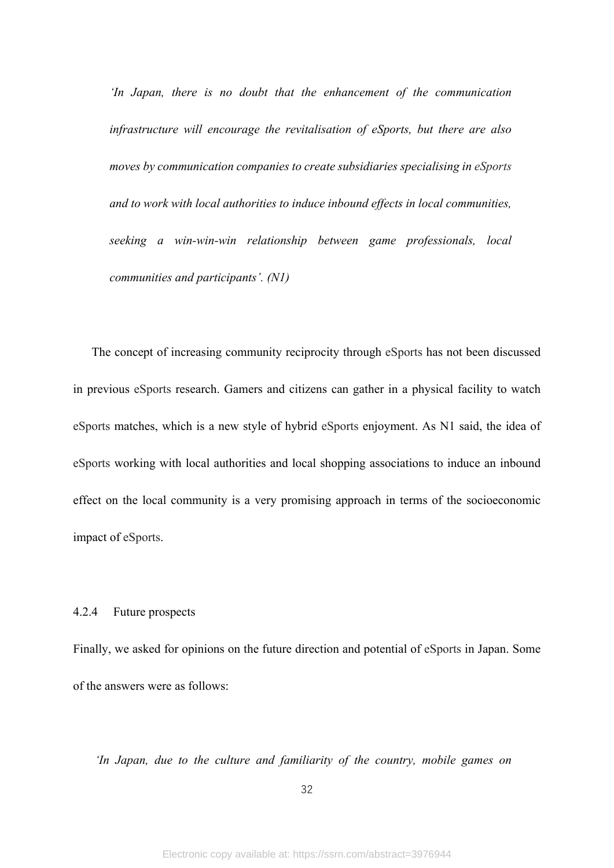*'In Japan, there is no doubt that the enhancement of the communication infrastructure will encourage the revitalisation of eSports, but there are also moves by communication companies to create subsidiaries specialising in eSports and to work with local authorities to induce inbound effects in local communities, seeking a win-win-win relationship between game professionals, local communities and participants'. (N1)*

The concept of increasing community reciprocity through eSports has not been discussed in previous eSports research. Gamers and citizens can gather in a physical facility to watch eSports matches, which is a new style of hybrid eSports enjoyment. As N1 said, the idea of eSports working with local authorities and local shopping associations to induce an inbound effect on the local community is a very promising approach in terms of the socioeconomic impact of eSports.

## 4.2.4 Future prospects

Finally, we asked for opinions on the future direction and potential of eSports in Japan. Some of the answers were as follows:

*'In Japan, due to the culture and familiarity of the country, mobile games on* 

32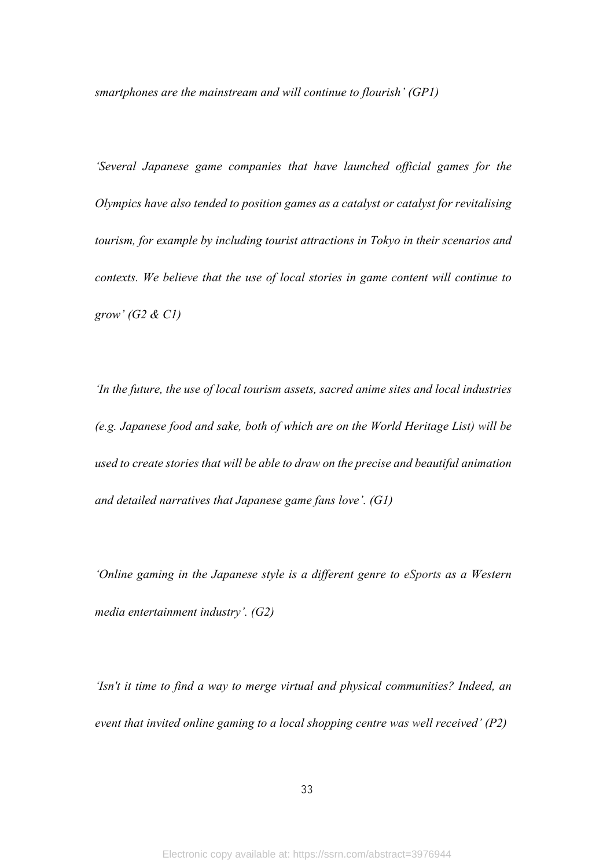*smartphones are the mainstream and will continue to flourish' (GP1)*

*'Several Japanese game companies that have launched official games for the Olympics have also tended to position games as a catalyst or catalyst for revitalising tourism, for example by including tourist attractions in Tokyo in their scenarios and contexts. We believe that the use of local stories in game content will continue to grow' (G2 & C1)*

*'In the future, the use of local tourism assets, sacred anime sites and local industries (e.g. Japanese food and sake, both of which are on the World Heritage List) will be used to create stories that will be able to draw on the precise and beautiful animation and detailed narratives that Japanese game fans love'. (G1)*

*'Online gaming in the Japanese style is a different genre to eSports as a Western media entertainment industry'. (G2)*

*'Isn't it time to find a way to merge virtual and physical communities? Indeed, an event that invited online gaming to a local shopping centre was well received' (P2)*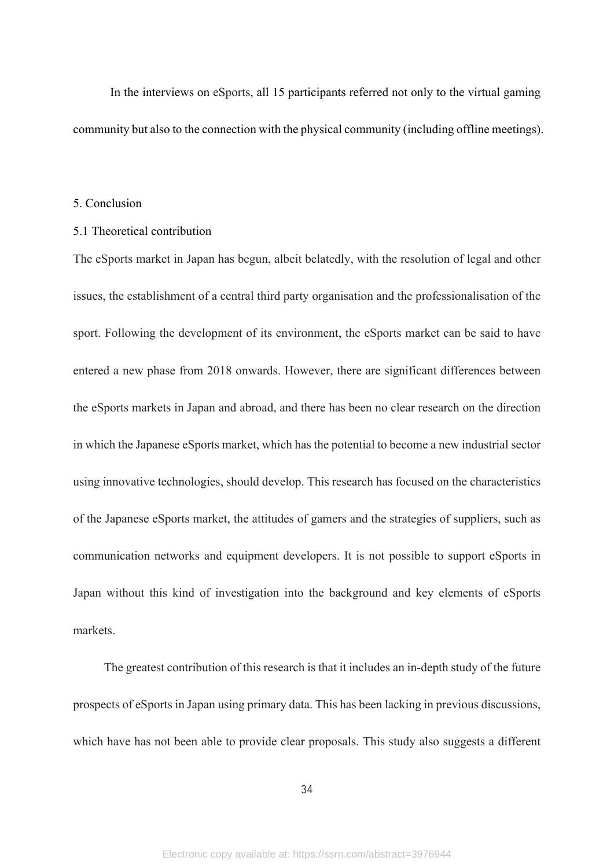In the interviews on eSports, all 15 participants referred not only to the virtual gaming community but also to the connection with the physical community (including offline meetings).

#### 5. Conclusion

#### 5.1 Theoretical contribution

The eSports market in Japan has begun, albeit belatedly, with the resolution of legal and other issues, the establishment of a central third party organisation and the professionalisation of the sport. Following the development of its environment, the eSports market can be said to have entered a new phase from 2018 onwards. However, there are significant differences between the eSports markets in Japan and abroad, and there has been no clear research on the direction in which the Japanese eSports market, which has the potential to become a new industrial sector using innovative technologies, should develop. This research has focused on the characteristics of the Japanese eSports market, the attitudes of gamers and the strategies of suppliers, such as communication networks and equipment developers. It is not possible to support eSports in Japan without this kind of investigation into the background and key elements of eSports markets.

The greatest contribution of this research is that it includes an in-depth study of the future prospects of eSports in Japan using primary data. This has been lacking in previous discussions, which have has not been able to provide clear proposals. This study also suggests a different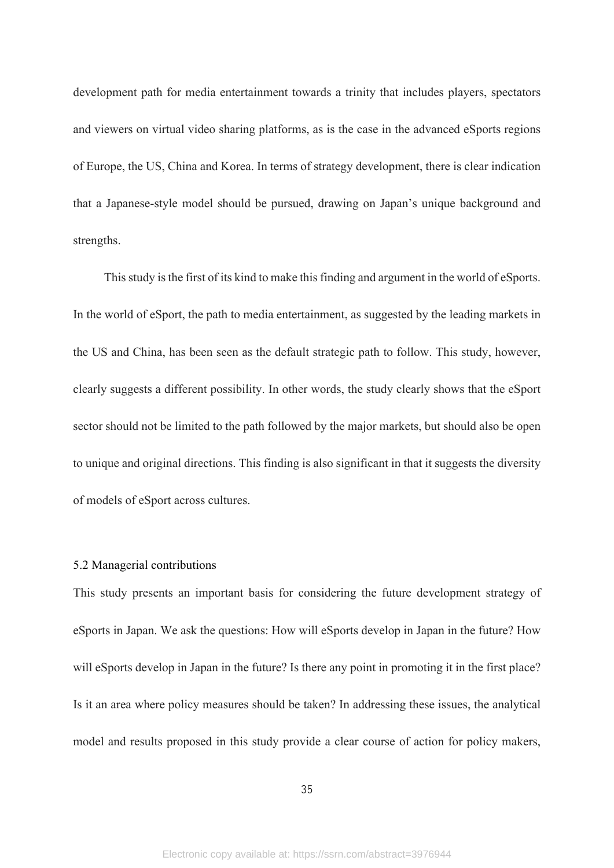development path for media entertainment towards a trinity that includes players, spectators and viewers on virtual video sharing platforms, as is the case in the advanced eSports regions of Europe, the US, China and Korea. In terms of strategy development, there is clear indication that a Japanese-style model should be pursued, drawing on Japan's unique background and strengths.

This study is the first of its kind to make this finding and argument in the world of eSports. In the world of eSport, the path to media entertainment, as suggested by the leading markets in the US and China, has been seen as the default strategic path to follow. This study, however, clearly suggests a different possibility. In other words, the study clearly shows that the eSport sector should not be limited to the path followed by the major markets, but should also be open to unique and original directions. This finding is also significant in that it suggests the diversity of models of eSport across cultures.

### 5.2 Managerial contributions

This study presents an important basis for considering the future development strategy of eSports in Japan. We ask the questions: How will eSports develop in Japan in the future? How will eSports develop in Japan in the future? Is there any point in promoting it in the first place? Is it an area where policy measures should be taken? In addressing these issues, the analytical model and results proposed in this study provide a clear course of action for policy makers,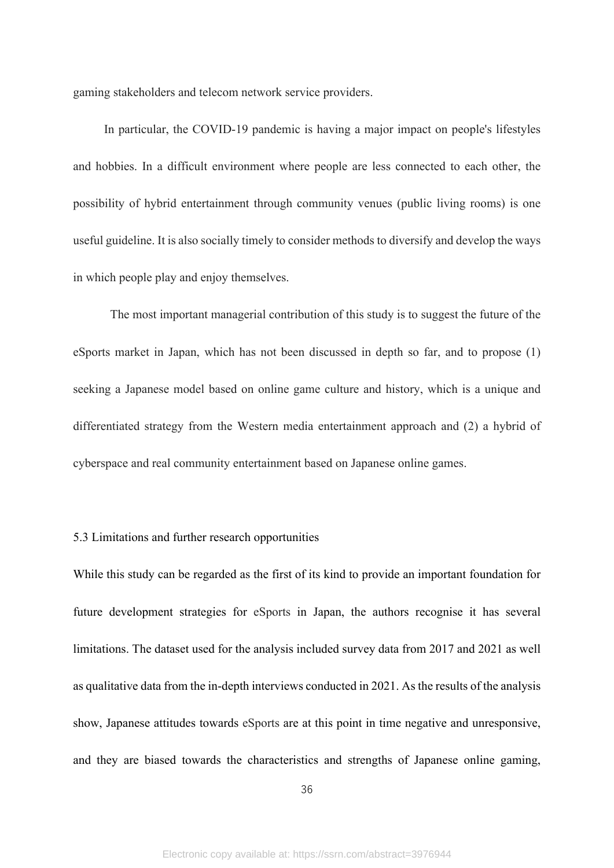gaming stakeholders and telecom network service providers.

In particular, the COVID-19 pandemic is having a major impact on people's lifestyles and hobbies. In a difficult environment where people are less connected to each other, the possibility of hybrid entertainment through community venues (public living rooms) is one useful guideline. It is also socially timely to consider methods to diversify and develop the ways in which people play and enjoy themselves.

The most important managerial contribution of this study is to suggest the future of the eSports market in Japan, which has not been discussed in depth so far, and to propose (1) seeking a Japanese model based on online game culture and history, which is a unique and differentiated strategy from the Western media entertainment approach and (2) a hybrid of cyberspace and real community entertainment based on Japanese online games.

## 5.3 Limitations and further research opportunities

While this study can be regarded as the first of its kind to provide an important foundation for future development strategies for eSports in Japan, the authors recognise it has several limitations. The dataset used for the analysis included survey data from 2017 and 2021 as well as qualitative data from the in-depth interviews conducted in 2021. As the results of the analysis show, Japanese attitudes towards eSports are at this point in time negative and unresponsive, and they are biased towards the characteristics and strengths of Japanese online gaming,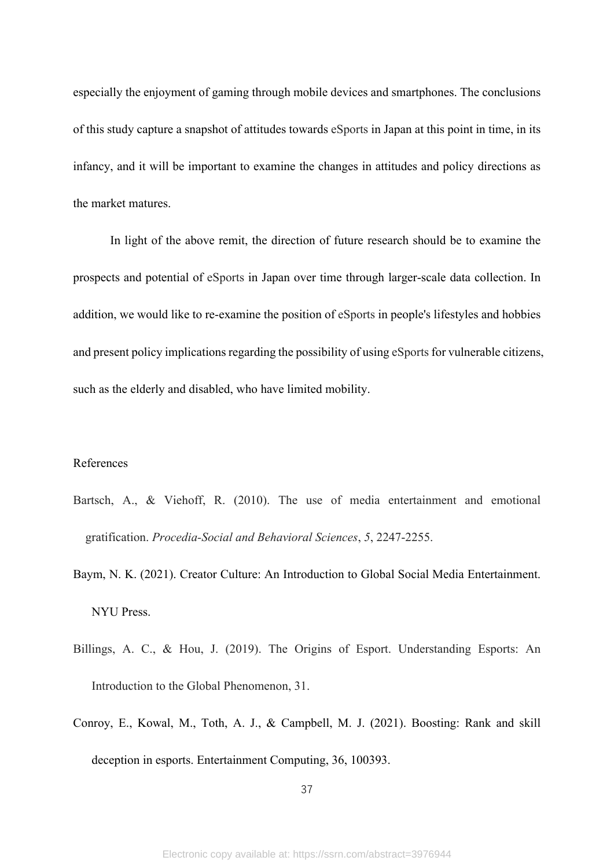especially the enjoyment of gaming through mobile devices and smartphones. The conclusions of this study capture a snapshot of attitudes towards eSports in Japan at this point in time, in its infancy, and it will be important to examine the changes in attitudes and policy directions as the market matures.

In light of the above remit, the direction of future research should be to examine the prospects and potential of eSports in Japan over time through larger-scale data collection. In addition, we would like to re-examine the position of eSports in people's lifestyles and hobbies and present policy implications regarding the possibility of using eSports for vulnerable citizens, such as the elderly and disabled, who have limited mobility.

## References

- Bartsch, A., & Viehoff, R. (2010). The use of media entertainment and emotional gratification. *Procedia-Social and Behavioral Sciences*, *5*, 2247-2255.
- Baym, N. K. (2021). Creator Culture: An Introduction to Global Social Media Entertainment. NYU Press.
- Billings, A. C., & Hou, J. (2019). The Origins of Esport. Understanding Esports: An Introduction to the Global Phenomenon, 31.
- Conroy, E., Kowal, M., Toth, A. J., & Campbell, M. J. (2021). Boosting: Rank and skill deception in esports. Entertainment Computing, 36, 100393.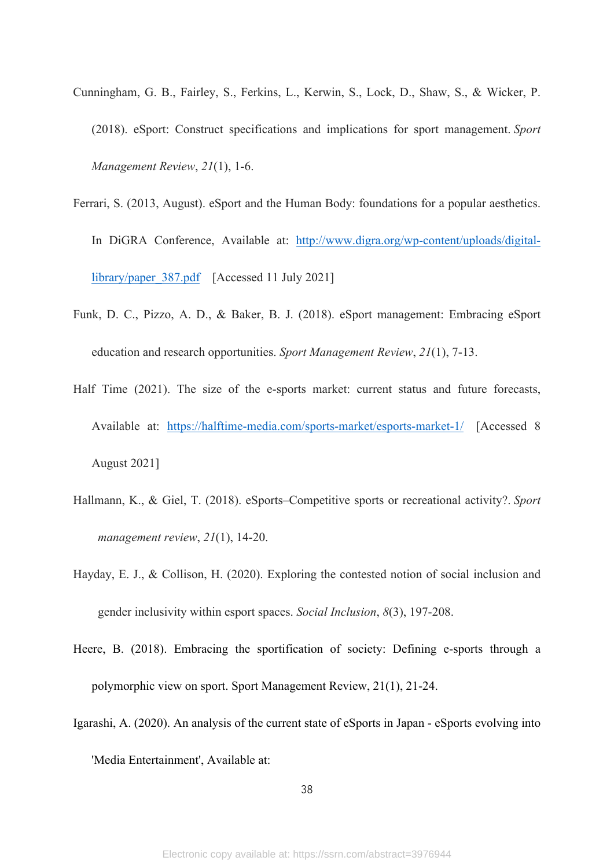- Cunningham, G. B., Fairley, S., Ferkins, L., Kerwin, S., Lock, D., Shaw, S., & Wicker, P. (2018). eSport: Construct specifications and implications for sport management. *Sport Management Review*, *21*(1), 1-6.
- Ferrari, S. (2013, August). eSport and the Human Body: foundations for a popular aesthetics. In DiGRA Conference, Available at: [http://www.digra.org/wp-content/uploads/digital](http://www.digra.org/wp-content/uploads/digital-library/paper_387.pdf)[library/paper\\_387.pdf](http://www.digra.org/wp-content/uploads/digital-library/paper_387.pdf) [Accessed 11 July 2021]
- Funk, D. C., Pizzo, A. D., & Baker, B. J. (2018). eSport management: Embracing eSport education and research opportunities. *Sport Management Review*, *21*(1), 7-13.
- Half Time (2021). The size of the e-sports market: current status and future forecasts, Available at: <https://halftime-media.com/sports-market/esports-market-1/> [Accessed 8 August 2021]
- Hallmann, K., & Giel, T. (2018). eSports–Competitive sports or recreational activity?. *Sport management review*, *21*(1), 14-20.
- Hayday, E. J., & Collison, H. (2020). Exploring the contested notion of social inclusion and gender inclusivity within esport spaces. *Social Inclusion*, *8*(3), 197-208.
- Heere, B. (2018). Embracing the sportification of society: Defining e-sports through a polymorphic view on sport. Sport Management Review, 21(1), 21-24.
- Igarashi, A. (2020). An analysis of the current state of eSports in Japan eSports evolving into 'Media Entertainment', Available at: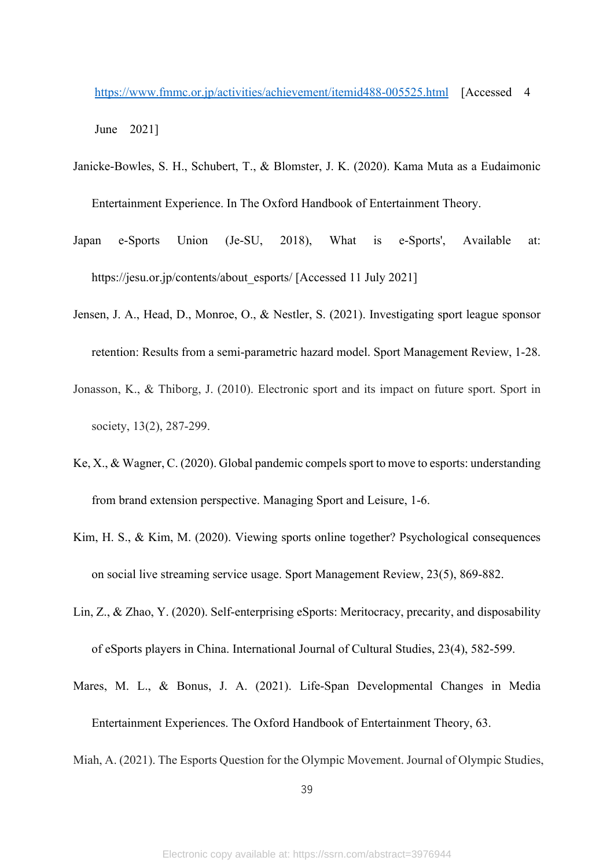<https://www.fmmc.or.jp/activities/achievement/itemid488-005525.html> [Accessed 4

June 2021]

- Janicke-Bowles, S. H., Schubert, T., & Blomster, J. K. (2020). Kama Muta as a Eudaimonic Entertainment Experience. In The Oxford Handbook of Entertainment Theory.
- Japan e-Sports Union (Je-SU, 2018), What is e-Sports', Available at: https://jesu.or.jp/contents/about\_esports/ [Accessed 11 July 2021]
- Jensen, J. A., Head, D., Monroe, O., & Nestler, S. (2021). Investigating sport league sponsor retention: Results from a semi-parametric hazard model. Sport Management Review, 1-28.
- Jonasson, K., & Thiborg, J. (2010). Electronic sport and its impact on future sport. Sport in society, 13(2), 287-299.
- Ke, X., & Wagner, C. (2020). Global pandemic compels sport to move to esports: understanding from brand extension perspective. Managing Sport and Leisure, 1-6.
- Kim, H. S., & Kim, M. (2020). Viewing sports online together? Psychological consequences on social live streaming service usage. Sport Management Review, 23(5), 869-882.
- Lin, Z., & Zhao, Y. (2020). Self-enterprising eSports: Meritocracy, precarity, and disposability of eSports players in China. International Journal of Cultural Studies, 23(4), 582-599.
- Mares, M. L., & Bonus, J. A. (2021). Life-Span Developmental Changes in Media

Entertainment Experiences. The Oxford Handbook of Entertainment Theory, 63.

Miah, A. (2021). The Esports Question for the Olympic Movement. Journal of Olympic Studies,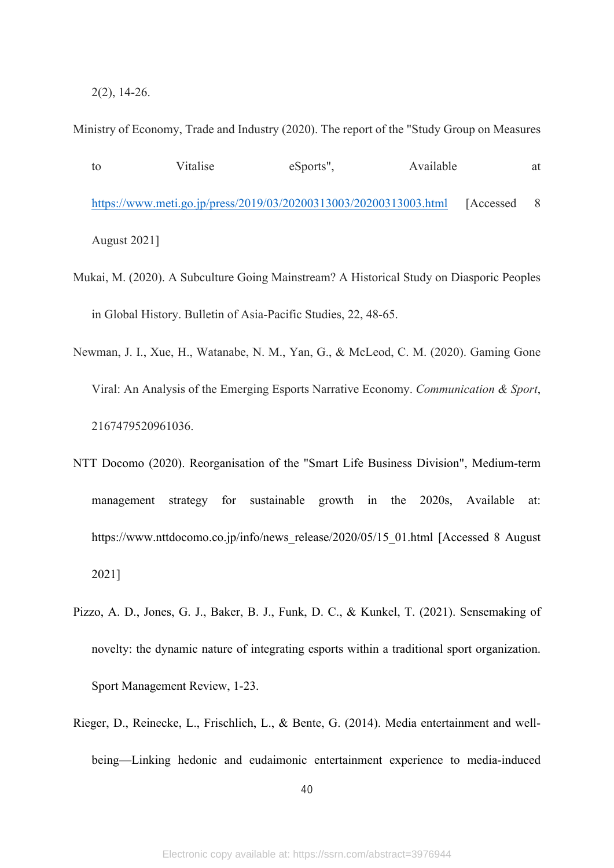2(2), 14-26.

Ministry of Economy, Trade and Industry (2020). The report of the "Study Group on Measures

```
to Vitalise eSports", Available at 
https://www.meti.go.jp/press/2019/03/20200313003/20200313003.html [Accessed 8
August 2021]
```
- Mukai, M. (2020). A Subculture Going Mainstream? A Historical Study on Diasporic Peoples in Global History. Bulletin of Asia-Pacific Studies, 22, 48-65.
- Newman, J. I., Xue, H., Watanabe, N. M., Yan, G., & McLeod, C. M. (2020). Gaming Gone Viral: An Analysis of the Emerging Esports Narrative Economy. *Communication & Sport*, 2167479520961036.
- NTT Docomo (2020). Reorganisation of the "Smart Life Business Division", Medium-term management strategy for sustainable growth in the 2020s, Available at: [https://www.nttdocomo.co.jp/info/news\\_release/2020/05/15\\_01.html \[Accessed 8](https://www.nttdocomo.co.jp/info/news_release/2020/05/15_01.html%20%5bAccessed%208) August] 2021]
- Pizzo, A. D., Jones, G. J., Baker, B. J., Funk, D. C., & Kunkel, T. (2021). Sensemaking of novelty: the dynamic nature of integrating esports within a traditional sport organization. Sport Management Review, 1-23.
- Rieger, D., Reinecke, L., Frischlich, L., & Bente, G. (2014). Media entertainment and wellbeing—Linking hedonic and eudaimonic entertainment experience to media-induced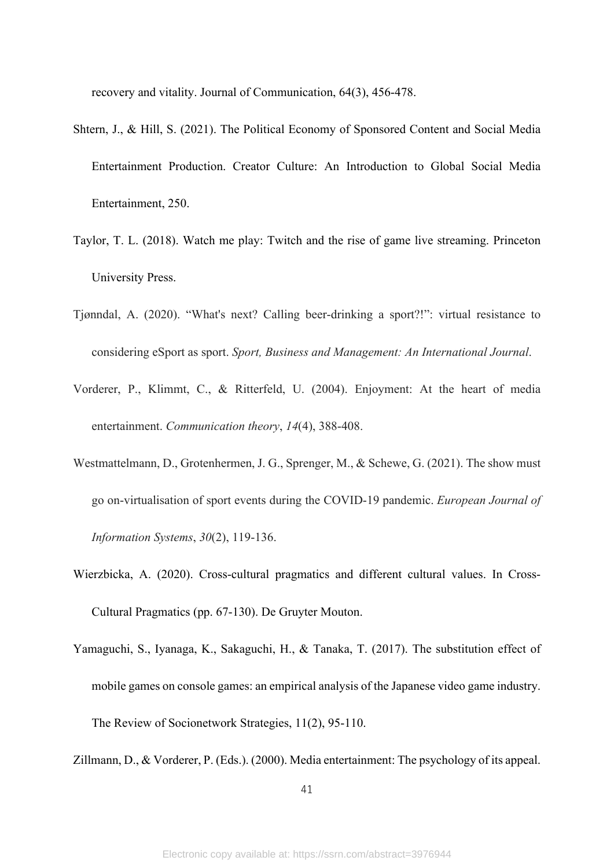recovery and vitality. Journal of Communication, 64(3), 456-478.

- Shtern, J., & Hill, S. (2021). The Political Economy of Sponsored Content and Social Media Entertainment Production. Creator Culture: An Introduction to Global Social Media Entertainment, 250.
- Taylor, T. L. (2018). Watch me play: Twitch and the rise of game live streaming. Princeton University Press.
- Tjønndal, A. (2020). "What's next? Calling beer-drinking a sport?!": virtual resistance to considering eSport as sport. *Sport, Business and Management: An International Journal*.
- Vorderer, P., Klimmt, C., & Ritterfeld, U. (2004). Enjoyment: At the heart of media entertainment. *Communication theory*, *14*(4), 388-408.
- Westmattelmann, D., Grotenhermen, J. G., Sprenger, M., & Schewe, G. (2021). The show must go on-virtualisation of sport events during the COVID-19 pandemic. *European Journal of Information Systems*, *30*(2), 119-136.
- Wierzbicka, A. (2020). Cross-cultural pragmatics and different cultural values. In Cross-Cultural Pragmatics (pp. 67-130). De Gruyter Mouton.
- Yamaguchi, S., Iyanaga, K., Sakaguchi, H., & Tanaka, T. (2017). The substitution effect of mobile games on console games: an empirical analysis of the Japanese video game industry. The Review of Socionetwork Strategies, 11(2), 95-110.
- Zillmann, D., & Vorderer, P. (Eds.). (2000). Media entertainment: The psychology of its appeal.